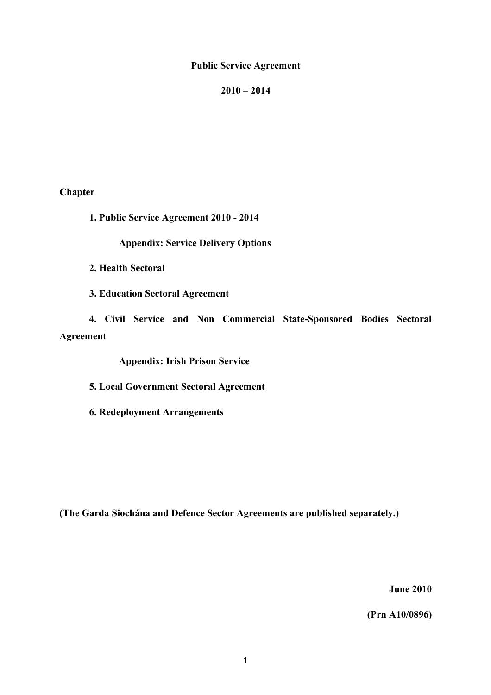# **Public Service Agreement**

# **2010 – 2014**

# **Chapter**

**1. Public Service Agreement 2010 - 2014**

**Appendix: Service Delivery Options**

**2. Health Sectoral**

**3. Education Sectoral Agreement**

**4. Civil Service and Non Commercial State-Sponsored Bodies Sectoral Agreement**

**Appendix: Irish Prison Service**

**5. Local Government Sectoral Agreement**

**6. Redeployment Arrangements**

**(The Garda Siochána and Defence Sector Agreements are published separately.)**

**June 2010**

**(Prn A10/0896)**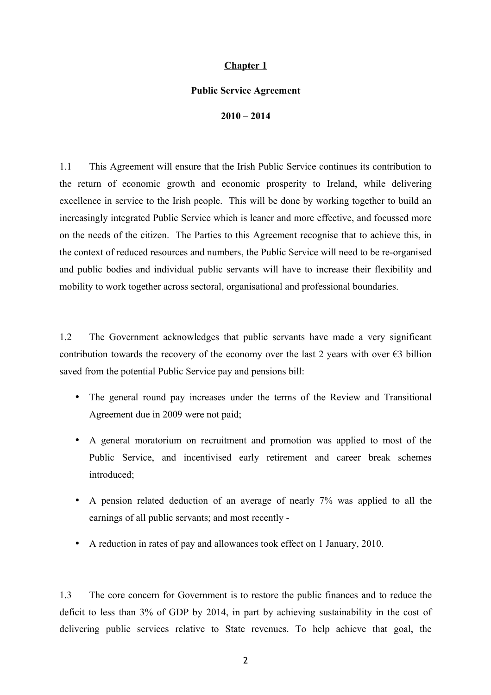# **Chapter 1**

### **Public Service Agreement**

**2010 – 2014**

1.1 This Agreement will ensure that the Irish Public Service continues its contribution to the return of economic growth and economic prosperity to Ireland, while delivering excellence in service to the Irish people. This will be done by working together to build an increasingly integrated Public Service which is leaner and more effective, and focussed more on the needs of the citizen. The Parties to this Agreement recognise that to achieve this, in the context of reduced resources and numbers, the Public Service will need to be re-organised and public bodies and individual public servants will have to increase their flexibility and mobility to work together across sectoral, organisational and professional boundaries.

1.2 The Government acknowledges that public servants have made a very significant contribution towards the recovery of the economy over the last 2 years with over  $\epsilon$ 3 billion saved from the potential Public Service pay and pensions bill:

- The general round pay increases under the terms of the Review and Transitional Agreement due in 2009 were not paid;
- A general moratorium on recruitment and promotion was applied to most of the Public Service, and incentivised early retirement and career break schemes introduced;
- A pension related deduction of an average of nearly 7% was applied to all the earnings of all public servants; and most recently -
- A reduction in rates of pay and allowances took effect on 1 January, 2010.

1.3 The core concern for Government is to restore the public finances and to reduce the deficit to less than 3% of GDP by 2014, in part by achieving sustainability in the cost of delivering public services relative to State revenues. To help achieve that goal, the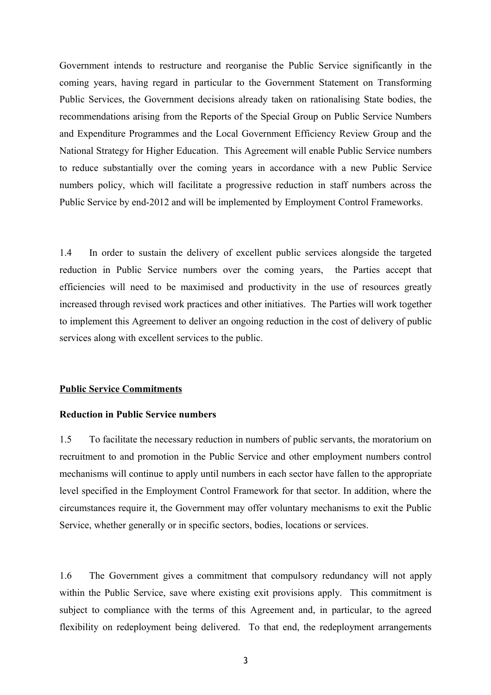Government intends to restructure and reorganise the Public Service significantly in the coming years, having regard in particular to the Government Statement on Transforming Public Services, the Government decisions already taken on rationalising State bodies, the recommendations arising from the Reports of the Special Group on Public Service Numbers and Expenditure Programmes and the Local Government Efficiency Review Group and the National Strategy for Higher Education. This Agreement will enable Public Service numbers to reduce substantially over the coming years in accordance with a new Public Service numbers policy, which will facilitate a progressive reduction in staff numbers across the Public Service by end-2012 and will be implemented by Employment Control Frameworks.

1.4 In order to sustain the delivery of excellent public services alongside the targeted reduction in Public Service numbers over the coming years, the Parties accept that efficiencies will need to be maximised and productivity in the use of resources greatly increased through revised work practices and other initiatives. The Parties will work together to implement this Agreement to deliver an ongoing reduction in the cost of delivery of public services along with excellent services to the public.

### **Public Service Commitments**

## **Reduction in Public Service numbers**

1.5 To facilitate the necessary reduction in numbers of public servants, the moratorium on recruitment to and promotion in the Public Service and other employment numbers control mechanisms will continue to apply until numbers in each sector have fallen to the appropriate level specified in the Employment Control Framework for that sector. In addition, where the circumstances require it, the Government may offer voluntary mechanisms to exit the Public Service, whether generally or in specific sectors, bodies, locations or services.

1.6 The Government gives a commitment that compulsory redundancy will not apply within the Public Service, save where existing exit provisions apply. This commitment is subject to compliance with the terms of this Agreement and, in particular, to the agreed flexibility on redeployment being delivered. To that end, the redeployment arrangements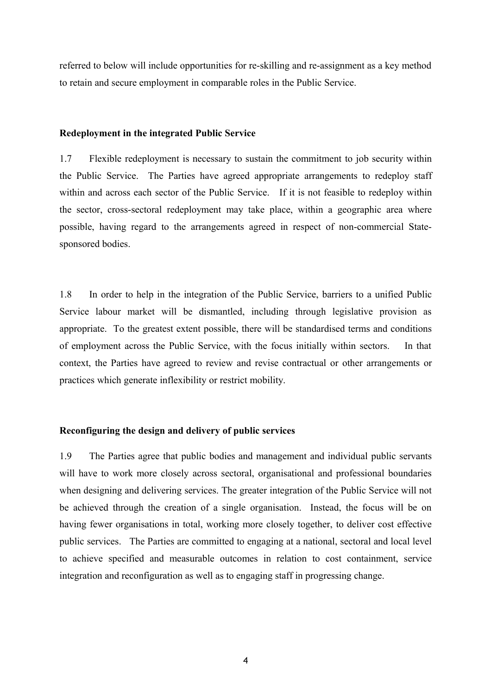referred to below will include opportunities for re-skilling and re-assignment as a key method to retain and secure employment in comparable roles in the Public Service.

### **Redeployment in the integrated Public Service**

1.7 Flexible redeployment is necessary to sustain the commitment to job security within the Public Service. The Parties have agreed appropriate arrangements to redeploy staff within and across each sector of the Public Service. If it is not feasible to redeploy within the sector, cross-sectoral redeployment may take place, within a geographic area where possible, having regard to the arrangements agreed in respect of non-commercial Statesponsored bodies.

1.8 In order to help in the integration of the Public Service, barriers to a unified Public Service labour market will be dismantled, including through legislative provision as appropriate. To the greatest extent possible, there will be standardised terms and conditions of employment across the Public Service, with the focus initially within sectors. In that context, the Parties have agreed to review and revise contractual or other arrangements or practices which generate inflexibility or restrict mobility.

### **Reconfiguring the design and delivery of public services**

1.9 The Parties agree that public bodies and management and individual public servants will have to work more closely across sectoral, organisational and professional boundaries when designing and delivering services. The greater integration of the Public Service will not be achieved through the creation of a single organisation. Instead, the focus will be on having fewer organisations in total, working more closely together, to deliver cost effective public services. The Parties are committed to engaging at a national, sectoral and local level to achieve specified and measurable outcomes in relation to cost containment, service integration and reconfiguration as well as to engaging staff in progressing change.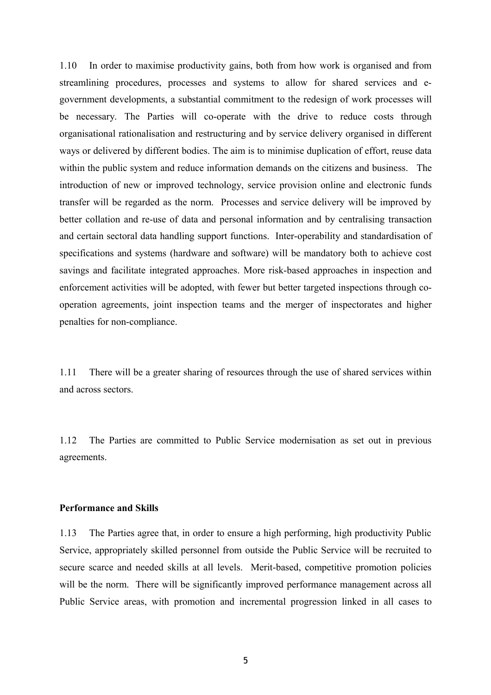1.10 In order to maximise productivity gains, both from how work is organised and from streamlining procedures, processes and systems to allow for shared services and egovernment developments, a substantial commitment to the redesign of work processes will be necessary. The Parties will co-operate with the drive to reduce costs through organisational rationalisation and restructuring and by service delivery organised in different ways or delivered by different bodies. The aim is to minimise duplication of effort, reuse data within the public system and reduce information demands on the citizens and business. The introduction of new or improved technology, service provision online and electronic funds transfer will be regarded as the norm. Processes and service delivery will be improved by better collation and re-use of data and personal information and by centralising transaction and certain sectoral data handling support functions. Inter-operability and standardisation of specifications and systems (hardware and software) will be mandatory both to achieve cost savings and facilitate integrated approaches. More risk-based approaches in inspection and enforcement activities will be adopted, with fewer but better targeted inspections through cooperation agreements, joint inspection teams and the merger of inspectorates and higher penalties for non-compliance.

1.11 There will be a greater sharing of resources through the use of shared services within and across sectors.

1.12 The Parties are committed to Public Service modernisation as set out in previous agreements.

### **Performance and Skills**

1.13 The Parties agree that, in order to ensure a high performing, high productivity Public Service, appropriately skilled personnel from outside the Public Service will be recruited to secure scarce and needed skills at all levels. Merit-based, competitive promotion policies will be the norm. There will be significantly improved performance management across all Public Service areas, with promotion and incremental progression linked in all cases to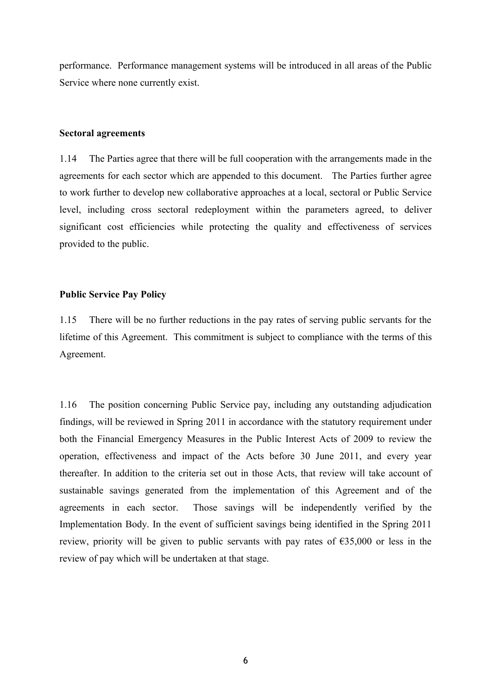performance. Performance management systems will be introduced in all areas of the Public Service where none currently exist.

### **Sectoral agreements**

1.14 The Parties agree that there will be full cooperation with the arrangements made in the agreements for each sector which are appended to this document. The Parties further agree to work further to develop new collaborative approaches at a local, sectoral or Public Service level, including cross sectoral redeployment within the parameters agreed, to deliver significant cost efficiencies while protecting the quality and effectiveness of services provided to the public.

### **Public Service Pay Policy**

1.15 There will be no further reductions in the pay rates of serving public servants for the lifetime of this Agreement. This commitment is subject to compliance with the terms of this Agreement.

1.16 The position concerning Public Service pay, including any outstanding adjudication findings, will be reviewed in Spring 2011 in accordance with the statutory requirement under both the Financial Emergency Measures in the Public Interest Acts of 2009 to review the operation, effectiveness and impact of the Acts before 30 June 2011, and every year thereafter. In addition to the criteria set out in those Acts, that review will take account of sustainable savings generated from the implementation of this Agreement and of the agreements in each sector. Those savings will be independently verified by the Implementation Body. In the event of sufficient savings being identified in the Spring 2011 review, priority will be given to public servants with pay rates of  $\epsilon$ 35,000 or less in the review of pay which will be undertaken at that stage.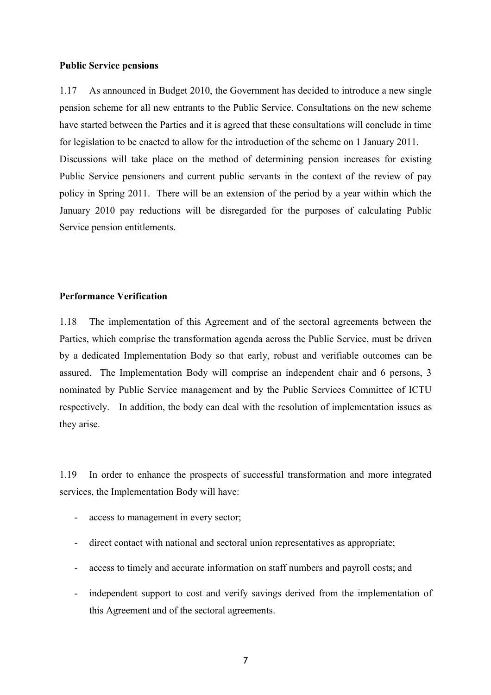#### **Public Service pensions**

1.17 As announced in Budget 2010, the Government has decided to introduce a new single pension scheme for all new entrants to the Public Service. Consultations on the new scheme have started between the Parties and it is agreed that these consultations will conclude in time for legislation to be enacted to allow for the introduction of the scheme on 1 January 2011. Discussions will take place on the method of determining pension increases for existing Public Service pensioners and current public servants in the context of the review of pay policy in Spring 2011. There will be an extension of the period by a year within which the January 2010 pay reductions will be disregarded for the purposes of calculating Public Service pension entitlements.

### **Performance Verification**

1.18 The implementation of this Agreement and of the sectoral agreements between the Parties, which comprise the transformation agenda across the Public Service, must be driven by a dedicated Implementation Body so that early, robust and verifiable outcomes can be assured. The Implementation Body will comprise an independent chair and 6 persons, 3 nominated by Public Service management and by the Public Services Committee of ICTU respectively. In addition, the body can deal with the resolution of implementation issues as they arise.

1.19 In order to enhance the prospects of successful transformation and more integrated services, the Implementation Body will have:

- access to management in every sector;
- direct contact with national and sectoral union representatives as appropriate;
- access to timely and accurate information on staff numbers and payroll costs; and
- independent support to cost and verify savings derived from the implementation of this Agreement and of the sectoral agreements.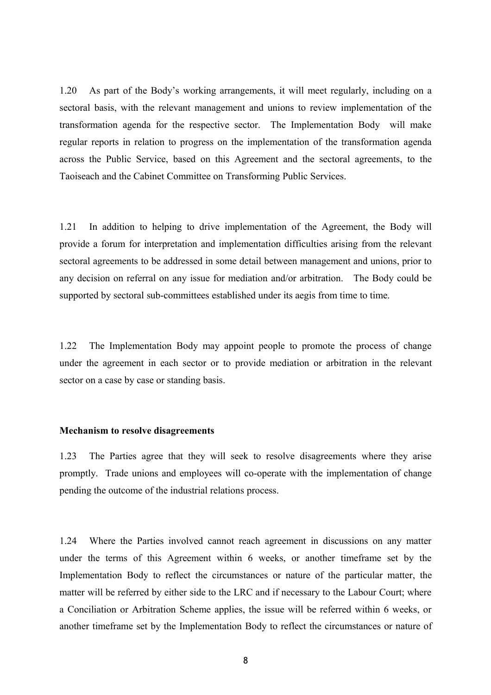1.20 As part of the Body's working arrangements, it will meet regularly, including on a sectoral basis, with the relevant management and unions to review implementation of the transformation agenda for the respective sector. The Implementation Body will make regular reports in relation to progress on the implementation of the transformation agenda across the Public Service, based on this Agreement and the sectoral agreements, to the Taoiseach and the Cabinet Committee on Transforming Public Services.

1.21 In addition to helping to drive implementation of the Agreement, the Body will provide a forum for interpretation and implementation difficulties arising from the relevant sectoral agreements to be addressed in some detail between management and unions, prior to any decision on referral on any issue for mediation and/or arbitration. The Body could be supported by sectoral sub-committees established under its aegis from time to time.

1.22 The Implementation Body may appoint people to promote the process of change under the agreement in each sector or to provide mediation or arbitration in the relevant sector on a case by case or standing basis.

### **Mechanism to resolve disagreements**

1.23 The Parties agree that they will seek to resolve disagreements where they arise promptly. Trade unions and employees will co-operate with the implementation of change pending the outcome of the industrial relations process.

1.24 Where the Parties involved cannot reach agreement in discussions on any matter under the terms of this Agreement within 6 weeks, or another timeframe set by the Implementation Body to reflect the circumstances or nature of the particular matter, the matter will be referred by either side to the LRC and if necessary to the Labour Court; where a Conciliation or Arbitration Scheme applies, the issue will be referred within 6 weeks, or another timeframe set by the Implementation Body to reflect the circumstances or nature of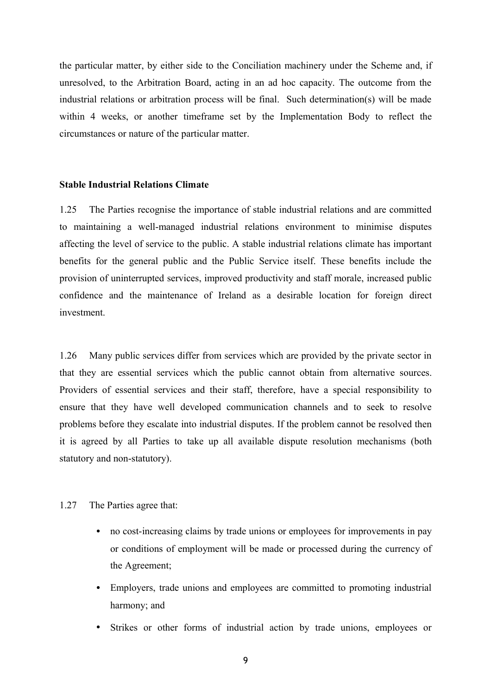the particular matter, by either side to the Conciliation machinery under the Scheme and, if unresolved, to the Arbitration Board, acting in an ad hoc capacity. The outcome from the industrial relations or arbitration process will be final. Such determination(s) will be made within 4 weeks, or another timeframe set by the Implementation Body to reflect the circumstances or nature of the particular matter.

#### **Stable Industrial Relations Climate**

1.25 The Parties recognise the importance of stable industrial relations and are committed to maintaining a well-managed industrial relations environment to minimise disputes affecting the level of service to the public. A stable industrial relations climate has important benefits for the general public and the Public Service itself. These benefits include the provision of uninterrupted services, improved productivity and staff morale, increased public confidence and the maintenance of Ireland as a desirable location for foreign direct investment.

1.26 Many public services differ from services which are provided by the private sector in that they are essential services which the public cannot obtain from alternative sources. Providers of essential services and their staff, therefore, have a special responsibility to ensure that they have well developed communication channels and to seek to resolve problems before they escalate into industrial disputes. If the problem cannot be resolved then it is agreed by all Parties to take up all available dispute resolution mechanisms (both statutory and non-statutory).

#### 1.27 The Parties agree that:

- no cost-increasing claims by trade unions or employees for improvements in pay or conditions of employment will be made or processed during the currency of the Agreement;
- Employers, trade unions and employees are committed to promoting industrial harmony; and
- Strikes or other forms of industrial action by trade unions, employees or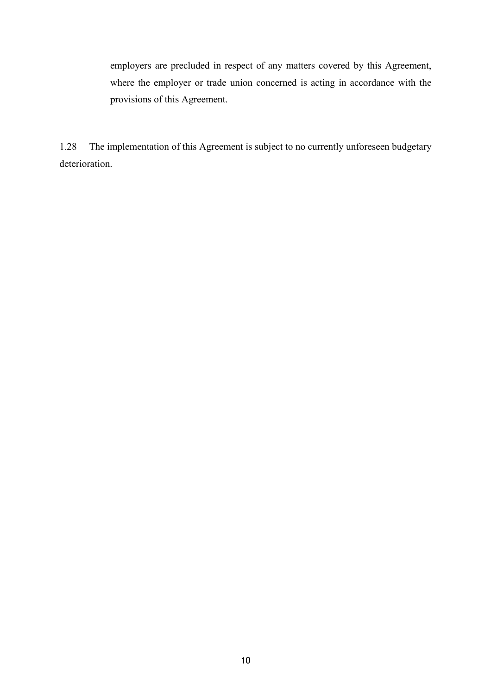employers are precluded in respect of any matters covered by this Agreement, where the employer or trade union concerned is acting in accordance with the provisions of this Agreement.

1.28 The implementation of this Agreement is subject to no currently unforeseen budgetary deterioration.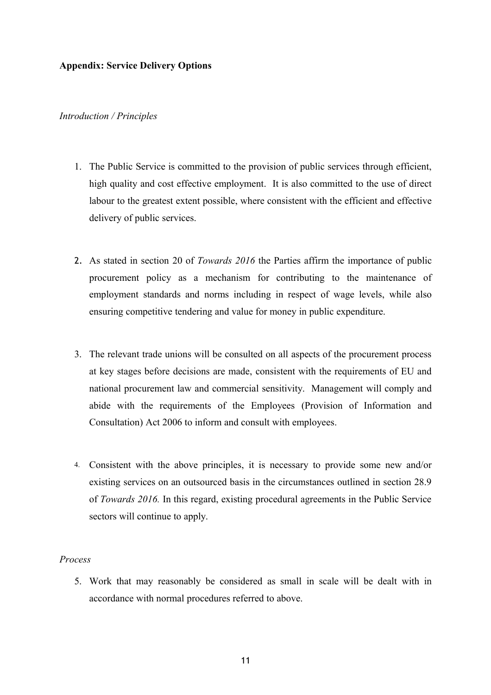# **Appendix: Service Delivery Options**

## *Introduction / Principles*

- 1. The Public Service is committed to the provision of public services through efficient, high quality and cost effective employment. It is also committed to the use of direct labour to the greatest extent possible, where consistent with the efficient and effective delivery of public services.
- 2. As stated in section 20 of *Towards 2016* the Parties affirm the importance of public procurement policy as a mechanism for contributing to the maintenance of employment standards and norms including in respect of wage levels, while also ensuring competitive tendering and value for money in public expenditure.
- 3. The relevant trade unions will be consulted on all aspects of the procurement process at key stages before decisions are made, consistent with the requirements of EU and national procurement law and commercial sensitivity. Management will comply and abide with the requirements of the Employees (Provision of Information and Consultation) Act 2006 to inform and consult with employees.
- 4. Consistent with the above principles, it is necessary to provide some new and/or existing services on an outsourced basis in the circumstances outlined in section 28.9 of *Towards 2016.* In this regard, existing procedural agreements in the Public Service sectors will continue to apply.

# *Process*

5. Work that may reasonably be considered as small in scale will be dealt with in accordance with normal procedures referred to above.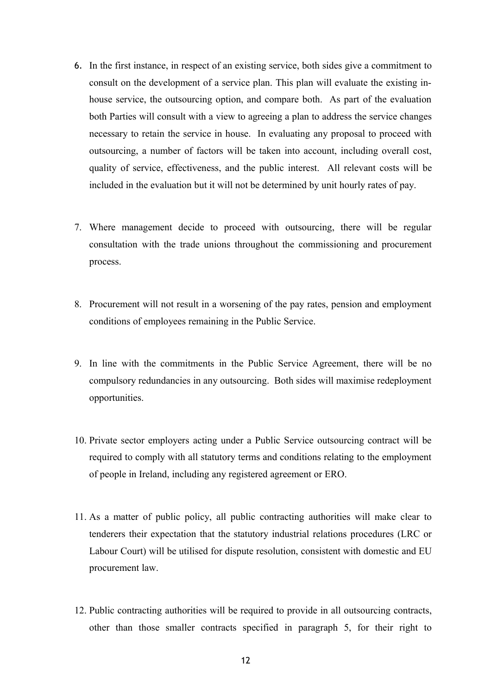- 6. In the first instance, in respect of an existing service, both sides give a commitment to consult on the development of a service plan. This plan will evaluate the existing inhouse service, the outsourcing option, and compare both. As part of the evaluation both Parties will consult with a view to agreeing a plan to address the service changes necessary to retain the service in house. In evaluating any proposal to proceed with outsourcing, a number of factors will be taken into account, including overall cost, quality of service, effectiveness, and the public interest. All relevant costs will be included in the evaluation but it will not be determined by unit hourly rates of pay.
- 7. Where management decide to proceed with outsourcing, there will be regular consultation with the trade unions throughout the commissioning and procurement process.
- 8. Procurement will not result in a worsening of the pay rates, pension and employment conditions of employees remaining in the Public Service.
- 9. In line with the commitments in the Public Service Agreement, there will be no compulsory redundancies in any outsourcing. Both sides will maximise redeployment opportunities.
- 10. Private sector employers acting under a Public Service outsourcing contract will be required to comply with all statutory terms and conditions relating to the employment of people in Ireland, including any registered agreement or ERO.
- 11. As a matter of public policy, all public contracting authorities will make clear to tenderers their expectation that the statutory industrial relations procedures (LRC or Labour Court) will be utilised for dispute resolution, consistent with domestic and EU procurement law.
- 12. Public contracting authorities will be required to provide in all outsourcing contracts, other than those smaller contracts specified in paragraph 5, for their right to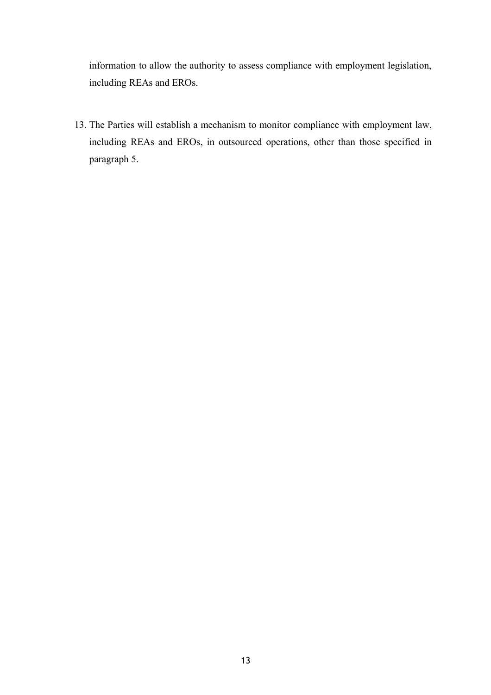information to allow the authority to assess compliance with employment legislation, including REAs and EROs.

13. The Parties will establish a mechanism to monitor compliance with employment law, including REAs and EROs, in outsourced operations, other than those specified in paragraph 5.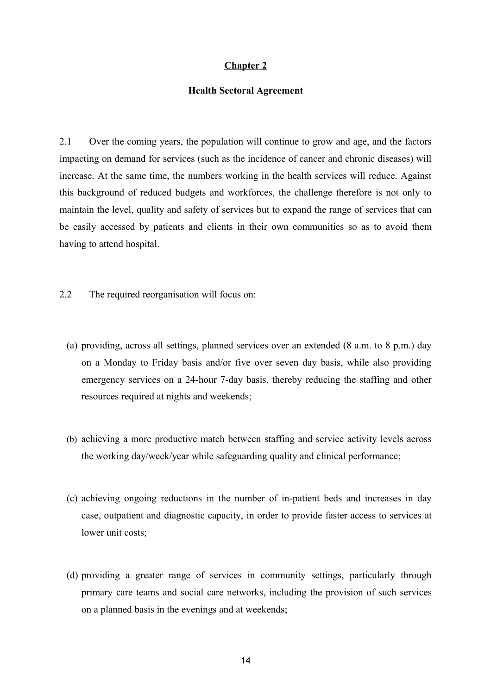## **Chapter 2**

### **Health Sectoral Agreement**

2.1 Over the coming years, the population will continue to grow and age, and the factors impacting on demand for services (such as the incidence of cancer and chronic diseases) will increase. At the same time, the numbers working in the health services will reduce. Against this background of reduced budgets and workforces, the challenge therefore is not only to maintain the level, quality and safety of services but to expand the range of services that can be easily accessed by patients and clients in their own communities so as to avoid them having to attend hospital.

2.2 The required reorganisation will focus on:

- (a) providing, across all settings, planned services over an extended (8 a.m. to 8 p.m.) day on a Monday to Friday basis and/or five over seven day basis, while also providing emergency services on a 24-hour 7-day basis, thereby reducing the staffing and other resources required at nights and weekends;
- (b) achieving a more productive match between staffing and service activity levels across the working day/week/year while safeguarding quality and clinical performance;
- (c) achieving ongoing reductions in the number of in-patient beds and increases in day case, outpatient and diagnostic capacity, in order to provide faster access to services at lower unit costs:
- (d) providing a greater range of services in community settings, particularly through primary care teams and social care networks, including the provision of such services on a planned basis in the evenings and at weekends;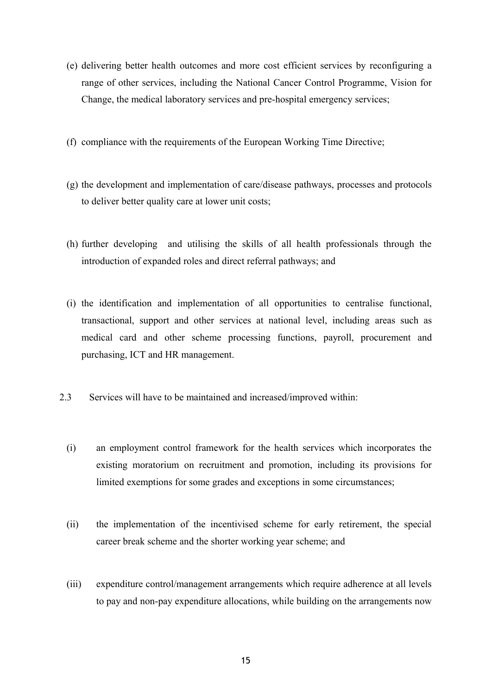- (e) delivering better health outcomes and more cost efficient services by reconfiguring a range of other services, including the National Cancer Control Programme, Vision for Change, the medical laboratory services and pre-hospital emergency services;
- (f) compliance with the requirements of the European Working Time Directive;
- (g) the development and implementation of care/disease pathways, processes and protocols to deliver better quality care at lower unit costs;
- (h) further developing and utilising the skills of all health professionals through the introduction of expanded roles and direct referral pathways; and
- (i) the identification and implementation of all opportunities to centralise functional, transactional, support and other services at national level, including areas such as medical card and other scheme processing functions, payroll, procurement and purchasing, ICT and HR management.
- 2.3 Services will have to be maintained and increased/improved within:
	- (i) an employment control framework for the health services which incorporates the existing moratorium on recruitment and promotion, including its provisions for limited exemptions for some grades and exceptions in some circumstances;
	- (ii) the implementation of the incentivised scheme for early retirement, the special career break scheme and the shorter working year scheme; and
	- (iii) expenditure control/management arrangements which require adherence at all levels to pay and non-pay expenditure allocations, while building on the arrangements now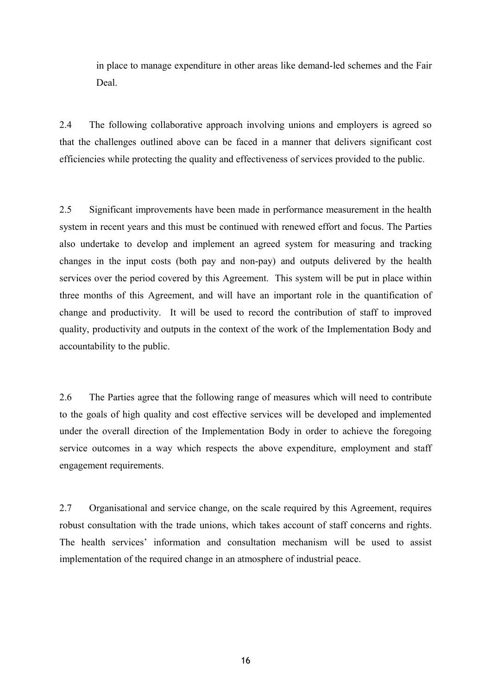in place to manage expenditure in other areas like demand-led schemes and the Fair Deal.

2.4 The following collaborative approach involving unions and employers is agreed so that the challenges outlined above can be faced in a manner that delivers significant cost efficiencies while protecting the quality and effectiveness of services provided to the public.

2.5 Significant improvements have been made in performance measurement in the health system in recent years and this must be continued with renewed effort and focus. The Parties also undertake to develop and implement an agreed system for measuring and tracking changes in the input costs (both pay and non-pay) and outputs delivered by the health services over the period covered by this Agreement. This system will be put in place within three months of this Agreement, and will have an important role in the quantification of change and productivity. It will be used to record the contribution of staff to improved quality, productivity and outputs in the context of the work of the Implementation Body and accountability to the public.

2.6 The Parties agree that the following range of measures which will need to contribute to the goals of high quality and cost effective services will be developed and implemented under the overall direction of the Implementation Body in order to achieve the foregoing service outcomes in a way which respects the above expenditure, employment and staff engagement requirements.

2.7 Organisational and service change, on the scale required by this Agreement, requires robust consultation with the trade unions, which takes account of staff concerns and rights. The health services' information and consultation mechanism will be used to assist implementation of the required change in an atmosphere of industrial peace.

16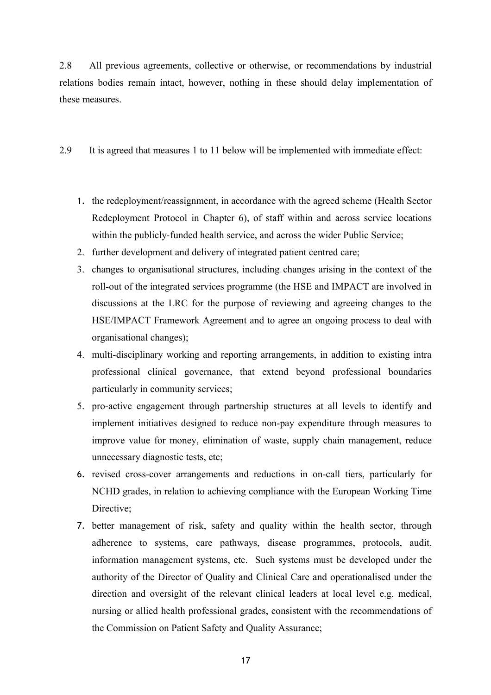2.8 All previous agreements, collective or otherwise, or recommendations by industrial relations bodies remain intact, however, nothing in these should delay implementation of these measures.

2.9 It is agreed that measures 1 to 11 below will be implemented with immediate effect:

- 1. the redeployment/reassignment, in accordance with the agreed scheme (Health Sector Redeployment Protocol in Chapter 6), of staff within and across service locations within the publicly-funded health service, and across the wider Public Service;
- 2. further development and delivery of integrated patient centred care;
- 3. changes to organisational structures, including changes arising in the context of the roll-out of the integrated services programme (the HSE and IMPACT are involved in discussions at the LRC for the purpose of reviewing and agreeing changes to the HSE/IMPACT Framework Agreement and to agree an ongoing process to deal with organisational changes);
- 4. multi-disciplinary working and reporting arrangements, in addition to existing intra professional clinical governance, that extend beyond professional boundaries particularly in community services;
- 5. pro-active engagement through partnership structures at all levels to identify and implement initiatives designed to reduce non-pay expenditure through measures to improve value for money, elimination of waste, supply chain management, reduce unnecessary diagnostic tests, etc;
- 6. revised cross-cover arrangements and reductions in on-call tiers, particularly for NCHD grades, in relation to achieving compliance with the European Working Time Directive;
- 7. better management of risk, safety and quality within the health sector, through adherence to systems, care pathways, disease programmes, protocols, audit, information management systems, etc. Such systems must be developed under the authority of the Director of Quality and Clinical Care and operationalised under the direction and oversight of the relevant clinical leaders at local level e.g. medical, nursing or allied health professional grades, consistent with the recommendations of the Commission on Patient Safety and Quality Assurance;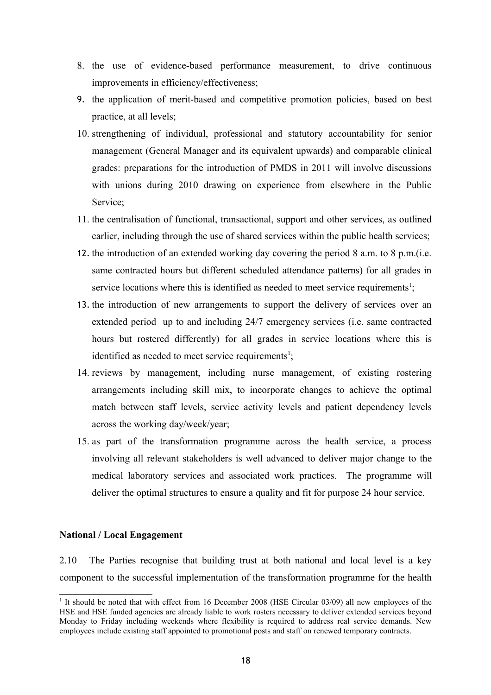- 8. the use of evidence-based performance measurement, to drive continuous improvements in efficiency/effectiveness;
- 9. the application of merit-based and competitive promotion policies, based on best practice, at all levels;
- 10. strengthening of individual, professional and statutory accountability for senior management (General Manager and its equivalent upwards) and comparable clinical grades: preparations for the introduction of PMDS in 2011 will involve discussions with unions during 2010 drawing on experience from elsewhere in the Public Service;
- 11. the centralisation of functional, transactional, support and other services, as outlined earlier, including through the use of shared services within the public health services;
- 12. the introduction of an extended working day covering the period 8 a.m. to 8 p.m.(i.e. same contracted hours but different scheduled attendance patterns) for all grades in service locations where this is identified as needed to meet service requirements<sup>1</sup>;
- 13. the introduction of new arrangements to support the delivery of services over an extended period up to and including 24/7 emergency services (i.e. same contracted hours but rostered differently) for all grades in service locations where this is identified as needed to meet service requirements<sup>[1](#page-17-0)</sup>;
- 14. reviews by management, including nurse management, of existing rostering arrangements including skill mix, to incorporate changes to achieve the optimal match between staff levels, service activity levels and patient dependency levels across the working day/week/year;
- 15. as part of the transformation programme across the health service, a process involving all relevant stakeholders is well advanced to deliver major change to the medical laboratory services and associated work practices. The programme will deliver the optimal structures to ensure a quality and fit for purpose 24 hour service.

### **National / Local Engagement**

2.10 The Parties recognise that building trust at both national and local level is a key component to the successful implementation of the transformation programme for the health

<span id="page-17-0"></span><sup>&</sup>lt;sup>1</sup> It should be noted that with effect from 16 December 2008 (HSE Circular 03/09) all new employees of the HSE and HSE funded agencies are already liable to work rosters necessary to deliver extended services beyond Monday to Friday including weekends where flexibility is required to address real service demands. New employees include existing staff appointed to promotional posts and staff on renewed temporary contracts.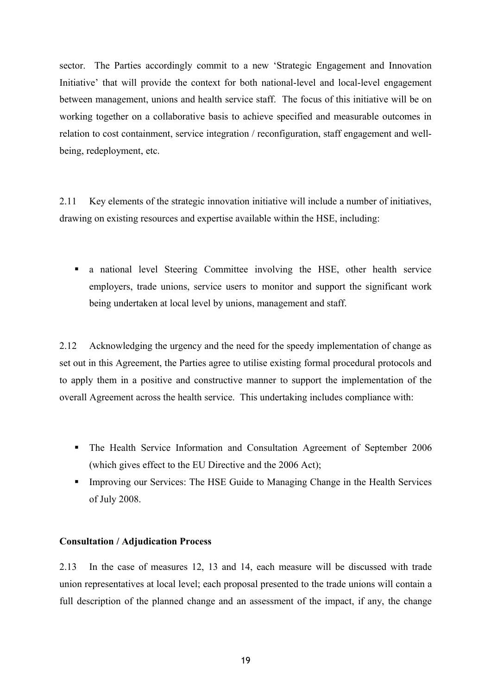sector. The Parties accordingly commit to a new 'Strategic Engagement and Innovation Initiative' that will provide the context for both national-level and local-level engagement between management, unions and health service staff. The focus of this initiative will be on working together on a collaborative basis to achieve specified and measurable outcomes in relation to cost containment, service integration / reconfiguration, staff engagement and wellbeing, redeployment, etc.

2.11 Key elements of the strategic innovation initiative will include a number of initiatives, drawing on existing resources and expertise available within the HSE, including:

 a national level Steering Committee involving the HSE, other health service employers, trade unions, service users to monitor and support the significant work being undertaken at local level by unions, management and staff.

2.12 Acknowledging the urgency and the need for the speedy implementation of change as set out in this Agreement, the Parties agree to utilise existing formal procedural protocols and to apply them in a positive and constructive manner to support the implementation of the overall Agreement across the health service. This undertaking includes compliance with:

- The Health Service Information and Consultation Agreement of September 2006 (which gives effect to the EU Directive and the 2006 Act);
- **Improving our Services: The HSE Guide to Managing Change in the Health Services** of July 2008.

### **Consultation / Adjudication Process**

2.13 In the case of measures 12, 13 and 14, each measure will be discussed with trade union representatives at local level; each proposal presented to the trade unions will contain a full description of the planned change and an assessment of the impact, if any, the change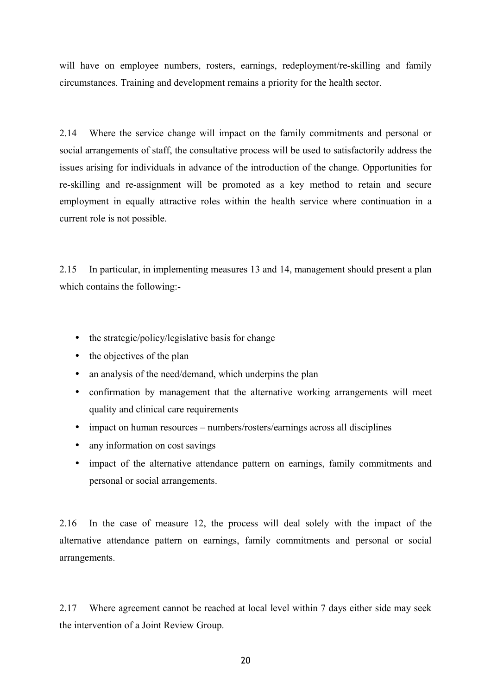will have on employee numbers, rosters, earnings, redeployment/re-skilling and family circumstances. Training and development remains a priority for the health sector.

2.14 Where the service change will impact on the family commitments and personal or social arrangements of staff, the consultative process will be used to satisfactorily address the issues arising for individuals in advance of the introduction of the change. Opportunities for re-skilling and re-assignment will be promoted as a key method to retain and secure employment in equally attractive roles within the health service where continuation in a current role is not possible.

2.15 In particular, in implementing measures 13 and 14, management should present a plan which contains the following:-

- the strategic/policy/legislative basis for change
- the objectives of the plan
- an analysis of the need/demand, which underpins the plan
- confirmation by management that the alternative working arrangements will meet quality and clinical care requirements
- impact on human resources numbers/rosters/earnings across all disciplines
- any information on cost savings
- impact of the alternative attendance pattern on earnings, family commitments and personal or social arrangements.

2.16 In the case of measure 12, the process will deal solely with the impact of the alternative attendance pattern on earnings, family commitments and personal or social arrangements.

2.17 Where agreement cannot be reached at local level within 7 days either side may seek the intervention of a Joint Review Group.

20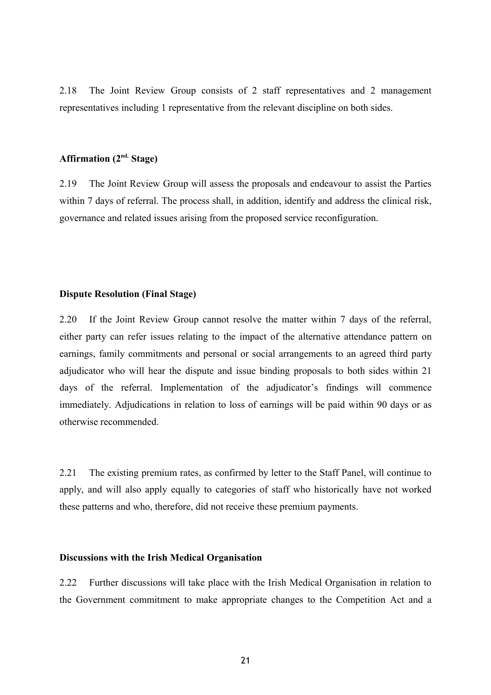2.18 The Joint Review Group consists of 2 staff representatives and 2 management representatives including 1 representative from the relevant discipline on both sides.

# **Affirmation (2nd. Stage)**

2.19 The Joint Review Group will assess the proposals and endeavour to assist the Parties within 7 days of referral. The process shall, in addition, identify and address the clinical risk, governance and related issues arising from the proposed service reconfiguration.

#### **Dispute Resolution (Final Stage)**

2.20 If the Joint Review Group cannot resolve the matter within 7 days of the referral, either party can refer issues relating to the impact of the alternative attendance pattern on earnings, family commitments and personal or social arrangements to an agreed third party adjudicator who will hear the dispute and issue binding proposals to both sides within 21 days of the referral. Implementation of the adjudicator's findings will commence immediately. Adjudications in relation to loss of earnings will be paid within 90 days or as otherwise recommended.

2.21 The existing premium rates, as confirmed by letter to the Staff Panel, will continue to apply, and will also apply equally to categories of staff who historically have not worked these patterns and who, therefore, did not receive these premium payments.

### **Discussions with the Irish Medical Organisation**

2.22 Further discussions will take place with the Irish Medical Organisation in relation to the Government commitment to make appropriate changes to the Competition Act and a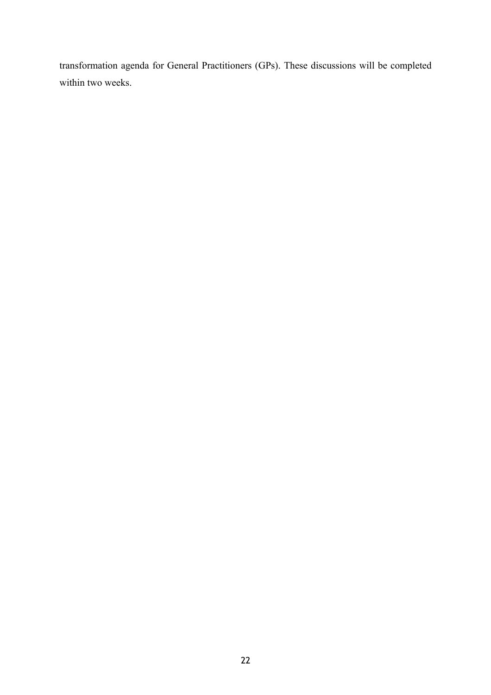transformation agenda for General Practitioners (GPs). These discussions will be completed within two weeks.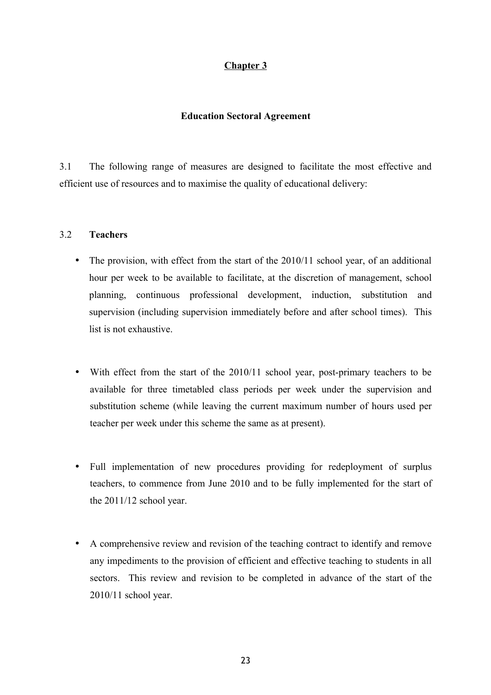# **Chapter 3**

# **Education Sectoral Agreement**

3.1 The following range of measures are designed to facilitate the most effective and efficient use of resources and to maximise the quality of educational delivery:

## 3.2 **Teachers**

- The provision, with effect from the start of the 2010/11 school year, of an additional hour per week to be available to facilitate, at the discretion of management, school planning, continuous professional development, induction, substitution and supervision (including supervision immediately before and after school times). This list is not exhaustive.
- With effect from the start of the 2010/11 school year, post-primary teachers to be available for three timetabled class periods per week under the supervision and substitution scheme (while leaving the current maximum number of hours used per teacher per week under this scheme the same as at present).
- Full implementation of new procedures providing for redeployment of surplus teachers, to commence from June 2010 and to be fully implemented for the start of the 2011/12 school year.
- A comprehensive review and revision of the teaching contract to identify and remove any impediments to the provision of efficient and effective teaching to students in all sectors. This review and revision to be completed in advance of the start of the 2010/11 school year.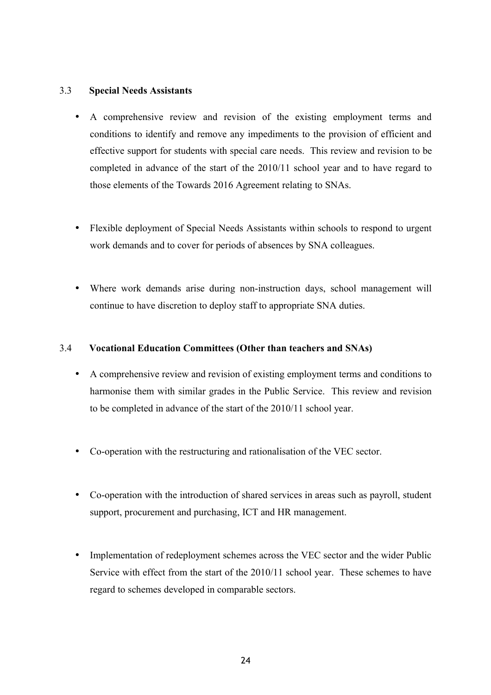# 3.3 **Special Needs Assistants**

- A comprehensive review and revision of the existing employment terms and conditions to identify and remove any impediments to the provision of efficient and effective support for students with special care needs. This review and revision to be completed in advance of the start of the 2010/11 school year and to have regard to those elements of the Towards 2016 Agreement relating to SNAs.
- Flexible deployment of Special Needs Assistants within schools to respond to urgent work demands and to cover for periods of absences by SNA colleagues.
- Where work demands arise during non-instruction days, school management will continue to have discretion to deploy staff to appropriate SNA duties.

## 3.4 **Vocational Education Committees (Other than teachers and SNAs)**

- A comprehensive review and revision of existing employment terms and conditions to harmonise them with similar grades in the Public Service. This review and revision to be completed in advance of the start of the 2010/11 school year.
- Co-operation with the restructuring and rationalisation of the VEC sector.
- Co-operation with the introduction of shared services in areas such as payroll, student support, procurement and purchasing, ICT and HR management.
- Implementation of redeployment schemes across the VEC sector and the wider Public Service with effect from the start of the 2010/11 school year. These schemes to have regard to schemes developed in comparable sectors.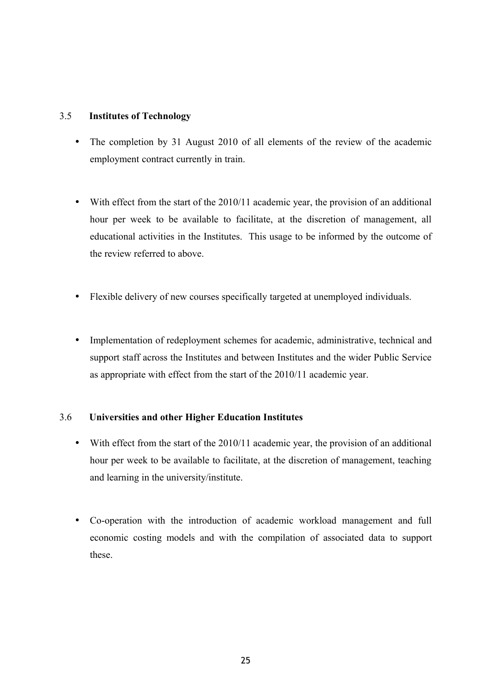# 3.5 **Institutes of Technology**

- The completion by 31 August 2010 of all elements of the review of the academic employment contract currently in train.
- With effect from the start of the 2010/11 academic year, the provision of an additional hour per week to be available to facilitate, at the discretion of management, all educational activities in the Institutes. This usage to be informed by the outcome of the review referred to above.
- Flexible delivery of new courses specifically targeted at unemployed individuals.
- Implementation of redeployment schemes for academic, administrative, technical and support staff across the Institutes and between Institutes and the wider Public Service as appropriate with effect from the start of the 2010/11 academic year.

# 3.6 **Universities and other Higher Education Institutes**

- With effect from the start of the 2010/11 academic year, the provision of an additional hour per week to be available to facilitate, at the discretion of management, teaching and learning in the university/institute.
- Co-operation with the introduction of academic workload management and full economic costing models and with the compilation of associated data to support these.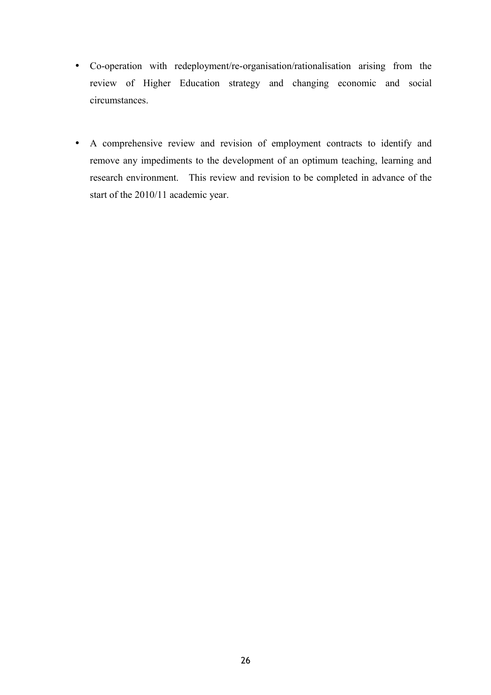- Co-operation with redeployment/re-organisation/rationalisation arising from the review of Higher Education strategy and changing economic and social circumstances.
- A comprehensive review and revision of employment contracts to identify and remove any impediments to the development of an optimum teaching, learning and research environment. This review and revision to be completed in advance of the start of the 2010/11 academic year.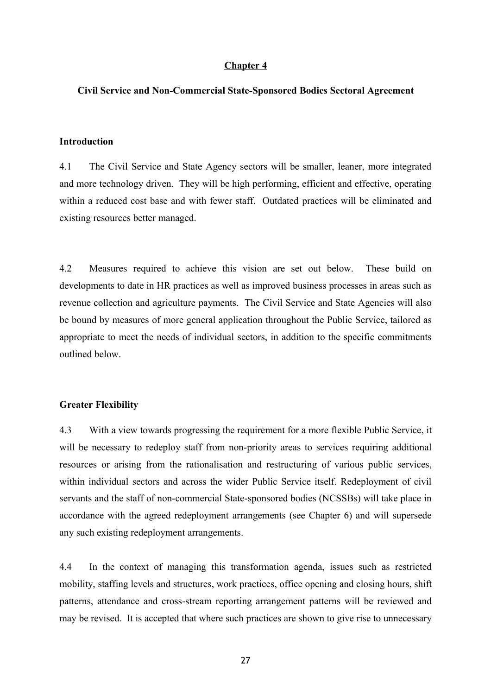### **Chapter 4**

### **Civil Service and Non-Commercial State-Sponsored Bodies Sectoral Agreement**

### **Introduction**

4.1 The Civil Service and State Agency sectors will be smaller, leaner, more integrated and more technology driven. They will be high performing, efficient and effective, operating within a reduced cost base and with fewer staff. Outdated practices will be eliminated and existing resources better managed.

4.2 Measures required to achieve this vision are set out below. These build on developments to date in HR practices as well as improved business processes in areas such as revenue collection and agriculture payments. The Civil Service and State Agencies will also be bound by measures of more general application throughout the Public Service, tailored as appropriate to meet the needs of individual sectors, in addition to the specific commitments outlined below.

#### **Greater Flexibility**

4.3 With a view towards progressing the requirement for a more flexible Public Service, it will be necessary to redeploy staff from non-priority areas to services requiring additional resources or arising from the rationalisation and restructuring of various public services, within individual sectors and across the wider Public Service itself. Redeployment of civil servants and the staff of non-commercial State-sponsored bodies (NCSSBs) will take place in accordance with the agreed redeployment arrangements (see Chapter 6) and will supersede any such existing redeployment arrangements.

4.4 In the context of managing this transformation agenda, issues such as restricted mobility, staffing levels and structures, work practices, office opening and closing hours, shift patterns, attendance and cross-stream reporting arrangement patterns will be reviewed and may be revised. It is accepted that where such practices are shown to give rise to unnecessary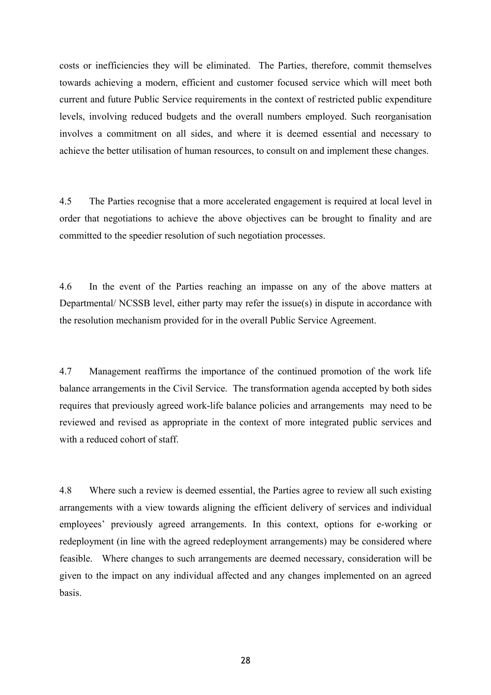costs or inefficiencies they will be eliminated. The Parties, therefore, commit themselves towards achieving a modern, efficient and customer focused service which will meet both current and future Public Service requirements in the context of restricted public expenditure levels, involving reduced budgets and the overall numbers employed. Such reorganisation involves a commitment on all sides, and where it is deemed essential and necessary to achieve the better utilisation of human resources, to consult on and implement these changes.

4.5 The Parties recognise that a more accelerated engagement is required at local level in order that negotiations to achieve the above objectives can be brought to finality and are committed to the speedier resolution of such negotiation processes.

4.6 In the event of the Parties reaching an impasse on any of the above matters at Departmental/ NCSSB level, either party may refer the issue(s) in dispute in accordance with the resolution mechanism provided for in the overall Public Service Agreement.

4.7 Management reaffirms the importance of the continued promotion of the work life balance arrangements in the Civil Service. The transformation agenda accepted by both sides requires that previously agreed work-life balance policies and arrangements may need to be reviewed and revised as appropriate in the context of more integrated public services and with a reduced cohort of staff.

4.8 Where such a review is deemed essential, the Parties agree to review all such existing arrangements with a view towards aligning the efficient delivery of services and individual employees' previously agreed arrangements. In this context, options for e-working or redeployment (in line with the agreed redeployment arrangements) may be considered where feasible. Where changes to such arrangements are deemed necessary, consideration will be given to the impact on any individual affected and any changes implemented on an agreed basis.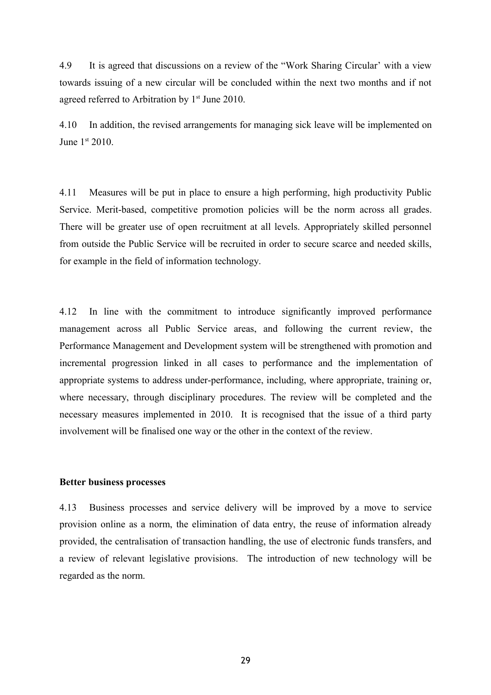4.9 It is agreed that discussions on a review of the "Work Sharing Circular' with a view towards issuing of a new circular will be concluded within the next two months and if not agreed referred to Arbitration by 1<sup>st</sup> June 2010.

4.10 In addition, the revised arrangements for managing sick leave will be implemented on June 1<sup>st</sup> 2010.

4.11 Measures will be put in place to ensure a high performing, high productivity Public Service. Merit-based, competitive promotion policies will be the norm across all grades. There will be greater use of open recruitment at all levels. Appropriately skilled personnel from outside the Public Service will be recruited in order to secure scarce and needed skills, for example in the field of information technology.

4.12 In line with the commitment to introduce significantly improved performance management across all Public Service areas, and following the current review, the Performance Management and Development system will be strengthened with promotion and incremental progression linked in all cases to performance and the implementation of appropriate systems to address under-performance, including, where appropriate, training or, where necessary, through disciplinary procedures. The review will be completed and the necessary measures implemented in 2010. It is recognised that the issue of a third party involvement will be finalised one way or the other in the context of the review.

### **Better business processes**

4.13 Business processes and service delivery will be improved by a move to service provision online as a norm, the elimination of data entry, the reuse of information already provided, the centralisation of transaction handling, the use of electronic funds transfers, and a review of relevant legislative provisions. The introduction of new technology will be regarded as the norm.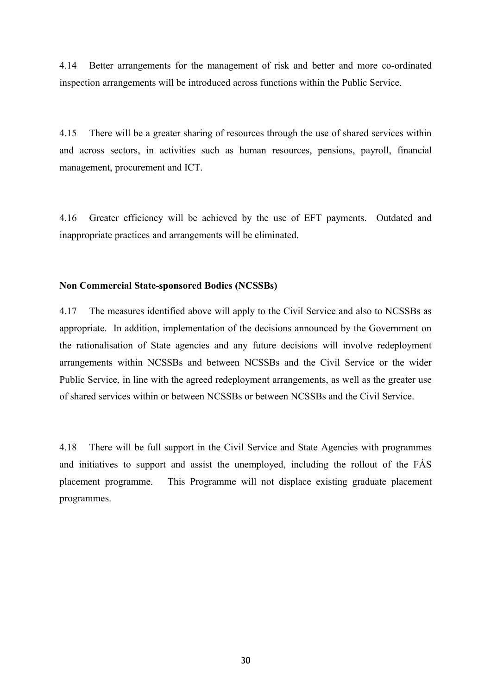4.14 Better arrangements for the management of risk and better and more co-ordinated inspection arrangements will be introduced across functions within the Public Service.

4.15 There will be a greater sharing of resources through the use of shared services within and across sectors, in activities such as human resources, pensions, payroll, financial management, procurement and ICT.

4.16 Greater efficiency will be achieved by the use of EFT payments. Outdated and inappropriate practices and arrangements will be eliminated.

# **Non Commercial State-sponsored Bodies (NCSSBs)**

4.17 The measures identified above will apply to the Civil Service and also to NCSSBs as appropriate. In addition, implementation of the decisions announced by the Government on the rationalisation of State agencies and any future decisions will involve redeployment arrangements within NCSSBs and between NCSSBs and the Civil Service or the wider Public Service, in line with the agreed redeployment arrangements, as well as the greater use of shared services within or between NCSSBs or between NCSSBs and the Civil Service.

4.18 There will be full support in the Civil Service and State Agencies with programmes and initiatives to support and assist the unemployed, including the rollout of the FÁS placement programme. This Programme will not displace existing graduate placement programmes.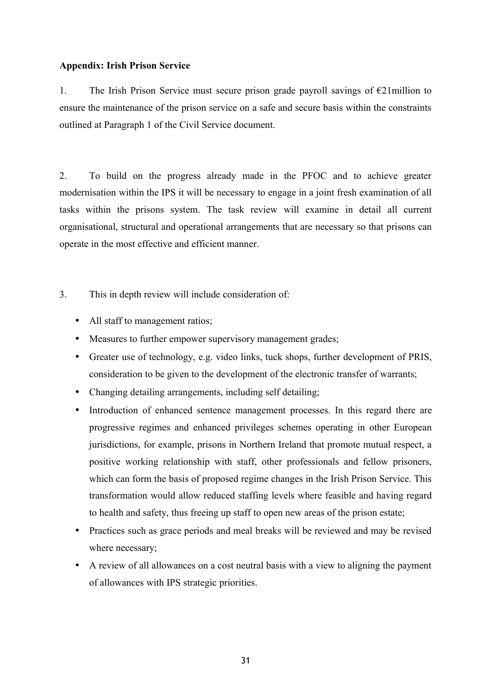# **Appendix: Irish Prison Service**

1. The Irish Prison Service must secure prison grade payroll savings of  $\epsilon$ 21 million to ensure the maintenance of the prison service on a safe and secure basis within the constraints outlined at Paragraph 1 of the Civil Service document.

2. To build on the progress already made in the PFOC and to achieve greater modernisation within the IPS it will be necessary to engage in a joint fresh examination of all tasks within the prisons system. The task review will examine in detail all current organisational, structural and operational arrangements that are necessary so that prisons can operate in the most effective and efficient manner.

3. This in depth review will include consideration of:

- All staff to management ratios;
- Measures to further empower supervisory management grades;
- Greater use of technology, e.g. video links, tuck shops, further development of PRIS, consideration to be given to the development of the electronic transfer of warrants;
- Changing detailing arrangements, including self detailing;
- Introduction of enhanced sentence management processes. In this regard there are progressive regimes and enhanced privileges schemes operating in other European jurisdictions, for example, prisons in Northern Ireland that promote mutual respect, a positive working relationship with staff, other professionals and fellow prisoners, which can form the basis of proposed regime changes in the Irish Prison Service. This transformation would allow reduced staffing levels where feasible and having regard to health and safety, thus freeing up staff to open new areas of the prison estate;
- Practices such as grace periods and meal breaks will be reviewed and may be revised where necessary;
- A review of all allowances on a cost neutral basis with a view to aligning the payment of allowances with IPS strategic priorities.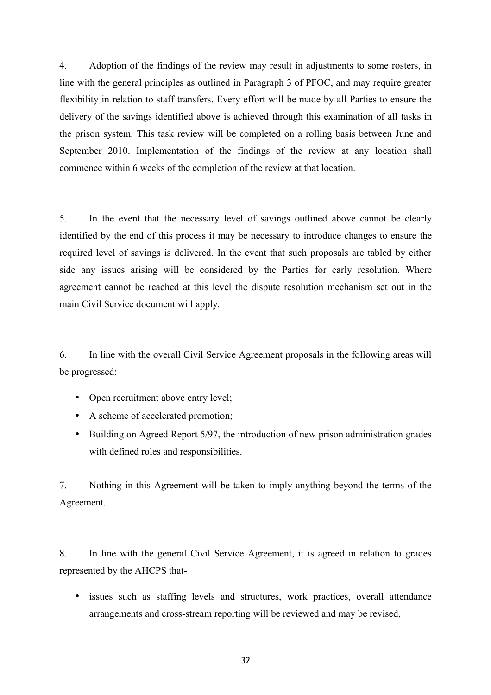4. Adoption of the findings of the review may result in adjustments to some rosters, in line with the general principles as outlined in Paragraph 3 of PFOC, and may require greater flexibility in relation to staff transfers. Every effort will be made by all Parties to ensure the delivery of the savings identified above is achieved through this examination of all tasks in the prison system. This task review will be completed on a rolling basis between June and September 2010. Implementation of the findings of the review at any location shall commence within 6 weeks of the completion of the review at that location.

5. In the event that the necessary level of savings outlined above cannot be clearly identified by the end of this process it may be necessary to introduce changes to ensure the required level of savings is delivered. In the event that such proposals are tabled by either side any issues arising will be considered by the Parties for early resolution. Where agreement cannot be reached at this level the dispute resolution mechanism set out in the main Civil Service document will apply.

6. In line with the overall Civil Service Agreement proposals in the following areas will be progressed:

- Open recruitment above entry level;
- A scheme of accelerated promotion;
- Building on Agreed Report 5/97, the introduction of new prison administration grades with defined roles and responsibilities.

7. Nothing in this Agreement will be taken to imply anything beyond the terms of the Agreement.

8. In line with the general Civil Service Agreement, it is agreed in relation to grades represented by the AHCPS that-

• issues such as staffing levels and structures, work practices, overall attendance arrangements and cross-stream reporting will be reviewed and may be revised,

32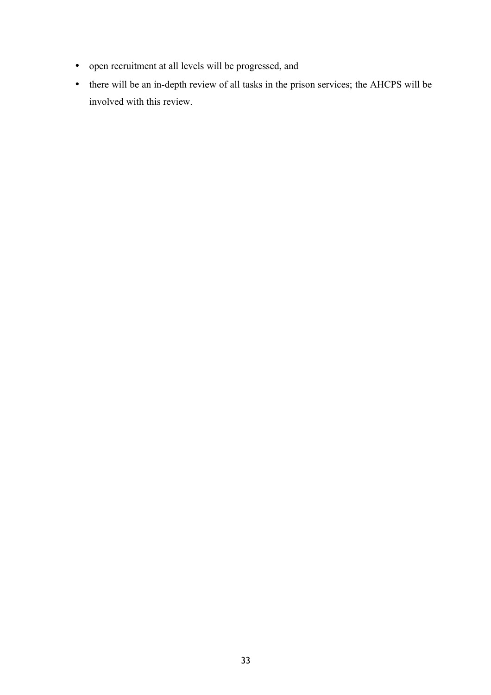- open recruitment at all levels will be progressed, and
- there will be an in-depth review of all tasks in the prison services; the AHCPS will be involved with this review.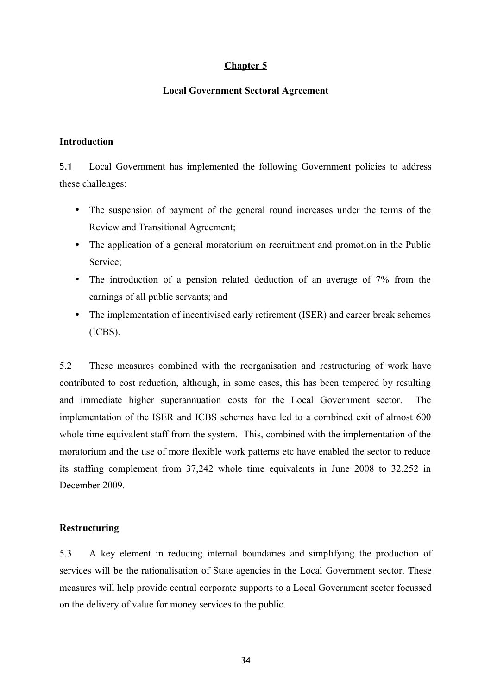# **Chapter 5**

# **Local Government Sectoral Agreement**

## **Introduction**

5.1 Local Government has implemented the following Government policies to address these challenges:

- The suspension of payment of the general round increases under the terms of the Review and Transitional Agreement;
- The application of a general moratorium on recruitment and promotion in the Public Service;
- The introduction of a pension related deduction of an average of 7% from the earnings of all public servants; and
- The implementation of incentivised early retirement (ISER) and career break schemes (ICBS).

5.2 These measures combined with the reorganisation and restructuring of work have contributed to cost reduction, although, in some cases, this has been tempered by resulting and immediate higher superannuation costs for the Local Government sector. The implementation of the ISER and ICBS schemes have led to a combined exit of almost 600 whole time equivalent staff from the system. This, combined with the implementation of the moratorium and the use of more flexible work patterns etc have enabled the sector to reduce its staffing complement from 37,242 whole time equivalents in June 2008 to 32,252 in December 2009.

## **Restructuring**

5.3 A key element in reducing internal boundaries and simplifying the production of services will be the rationalisation of State agencies in the Local Government sector. These measures will help provide central corporate supports to a Local Government sector focussed on the delivery of value for money services to the public.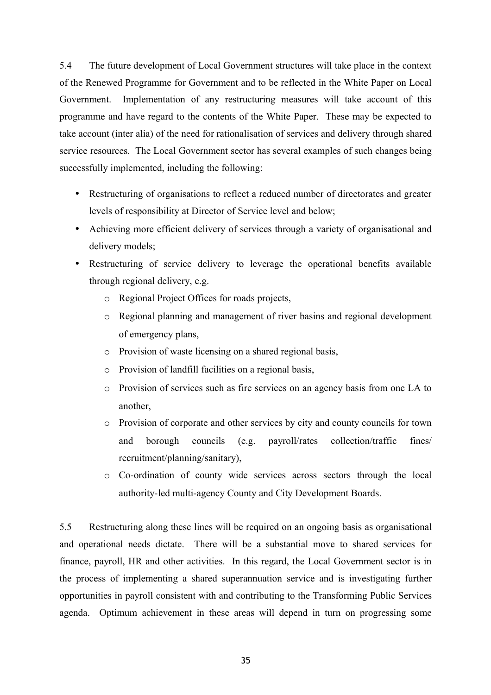5.4 The future development of Local Government structures will take place in the context of the Renewed Programme for Government and to be reflected in the White Paper on Local Government. Implementation of any restructuring measures will take account of this programme and have regard to the contents of the White Paper. These may be expected to take account (inter alia) of the need for rationalisation of services and delivery through shared service resources. The Local Government sector has several examples of such changes being successfully implemented, including the following:

- Restructuring of organisations to reflect a reduced number of directorates and greater levels of responsibility at Director of Service level and below;
- Achieving more efficient delivery of services through a variety of organisational and delivery models;
- Restructuring of service delivery to leverage the operational benefits available through regional delivery, e.g.
	- o Regional Project Offices for roads projects,
	- o Regional planning and management of river basins and regional development of emergency plans,
	- o Provision of waste licensing on a shared regional basis,
	- o Provision of landfill facilities on a regional basis,
	- o Provision of services such as fire services on an agency basis from one LA to another,
	- o Provision of corporate and other services by city and county councils for town and borough councils (e.g. payroll/rates collection/traffic fines/ recruitment/planning/sanitary),
	- o Co-ordination of county wide services across sectors through the local authority-led multi-agency County and City Development Boards.

5.5 Restructuring along these lines will be required on an ongoing basis as organisational and operational needs dictate. There will be a substantial move to shared services for finance, payroll, HR and other activities. In this regard, the Local Government sector is in the process of implementing a shared superannuation service and is investigating further opportunities in payroll consistent with and contributing to the Transforming Public Services agenda. Optimum achievement in these areas will depend in turn on progressing some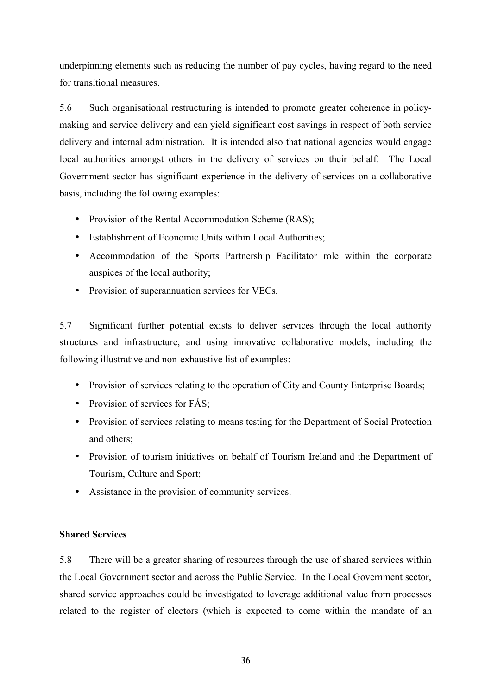underpinning elements such as reducing the number of pay cycles, having regard to the need for transitional measures.

5.6 Such organisational restructuring is intended to promote greater coherence in policymaking and service delivery and can yield significant cost savings in respect of both service delivery and internal administration. It is intended also that national agencies would engage local authorities amongst others in the delivery of services on their behalf. The Local Government sector has significant experience in the delivery of services on a collaborative basis, including the following examples:

- Provision of the Rental Accommodation Scheme (RAS);
- Establishment of Economic Units within Local Authorities;
- Accommodation of the Sports Partnership Facilitator role within the corporate auspices of the local authority;
- Provision of superannuation services for VECs.

5.7 Significant further potential exists to deliver services through the local authority structures and infrastructure, and using innovative collaborative models, including the following illustrative and non-exhaustive list of examples:

- Provision of services relating to the operation of City and County Enterprise Boards;
- Provision of services for FÁS;
- Provision of services relating to means testing for the Department of Social Protection and others;
- Provision of tourism initiatives on behalf of Tourism Ireland and the Department of Tourism, Culture and Sport;
- Assistance in the provision of community services.

# **Shared Services**

5.8 There will be a greater sharing of resources through the use of shared services within the Local Government sector and across the Public Service. In the Local Government sector, shared service approaches could be investigated to leverage additional value from processes related to the register of electors (which is expected to come within the mandate of an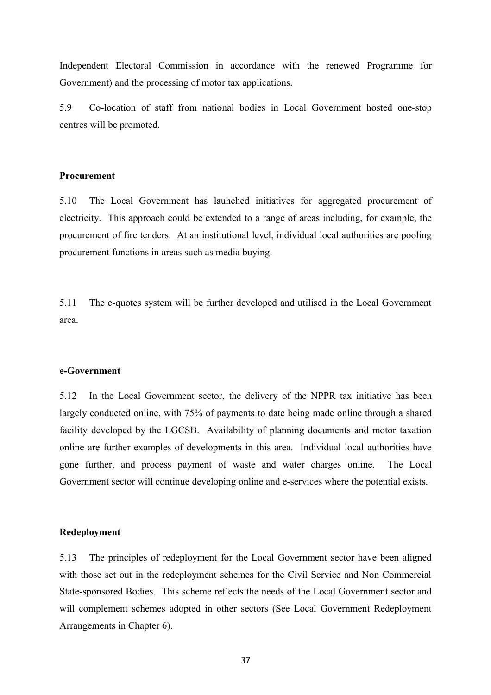Independent Electoral Commission in accordance with the renewed Programme for Government) and the processing of motor tax applications.

5.9 Co-location of staff from national bodies in Local Government hosted one-stop centres will be promoted.

### **Procurement**

5.10 The Local Government has launched initiatives for aggregated procurement of electricity. This approach could be extended to a range of areas including, for example, the procurement of fire tenders. At an institutional level, individual local authorities are pooling procurement functions in areas such as media buying.

5.11 The e-quotes system will be further developed and utilised in the Local Government area.

#### **e-Government**

5.12 In the Local Government sector, the delivery of the NPPR tax initiative has been largely conducted online, with 75% of payments to date being made online through a shared facility developed by the LGCSB. Availability of planning documents and motor taxation online are further examples of developments in this area. Individual local authorities have gone further, and process payment of waste and water charges online. The Local Government sector will continue developing online and e-services where the potential exists.

### **Redeployment**

5.13 The principles of redeployment for the Local Government sector have been aligned with those set out in the redeployment schemes for the Civil Service and Non Commercial State-sponsored Bodies. This scheme reflects the needs of the Local Government sector and will complement schemes adopted in other sectors (See Local Government Redeployment Arrangements in Chapter 6).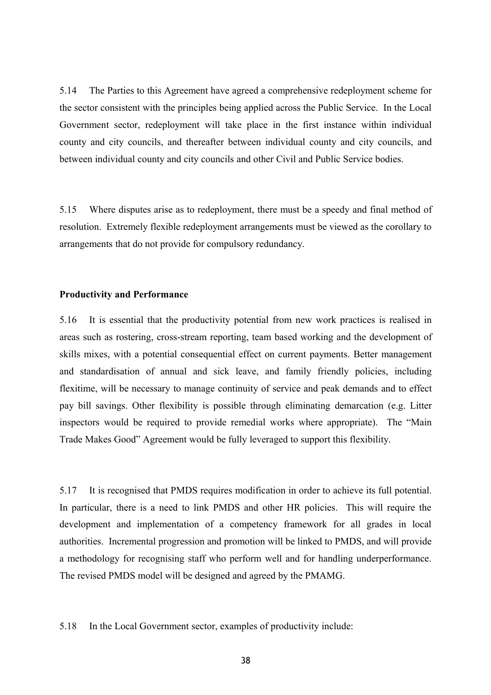5.14 The Parties to this Agreement have agreed a comprehensive redeployment scheme for the sector consistent with the principles being applied across the Public Service. In the Local Government sector, redeployment will take place in the first instance within individual county and city councils, and thereafter between individual county and city councils, and between individual county and city councils and other Civil and Public Service bodies.

5.15 Where disputes arise as to redeployment, there must be a speedy and final method of resolution. Extremely flexible redeployment arrangements must be viewed as the corollary to arrangements that do not provide for compulsory redundancy.

### **Productivity and Performance**

5.16 It is essential that the productivity potential from new work practices is realised in areas such as rostering, cross-stream reporting, team based working and the development of skills mixes, with a potential consequential effect on current payments. Better management and standardisation of annual and sick leave, and family friendly policies, including flexitime, will be necessary to manage continuity of service and peak demands and to effect pay bill savings. Other flexibility is possible through eliminating demarcation (e.g. Litter inspectors would be required to provide remedial works where appropriate). The "Main Trade Makes Good" Agreement would be fully leveraged to support this flexibility.

5.17 It is recognised that PMDS requires modification in order to achieve its full potential. In particular, there is a need to link PMDS and other HR policies. This will require the development and implementation of a competency framework for all grades in local authorities. Incremental progression and promotion will be linked to PMDS, and will provide a methodology for recognising staff who perform well and for handling underperformance. The revised PMDS model will be designed and agreed by the PMAMG.

5.18 In the Local Government sector, examples of productivity include: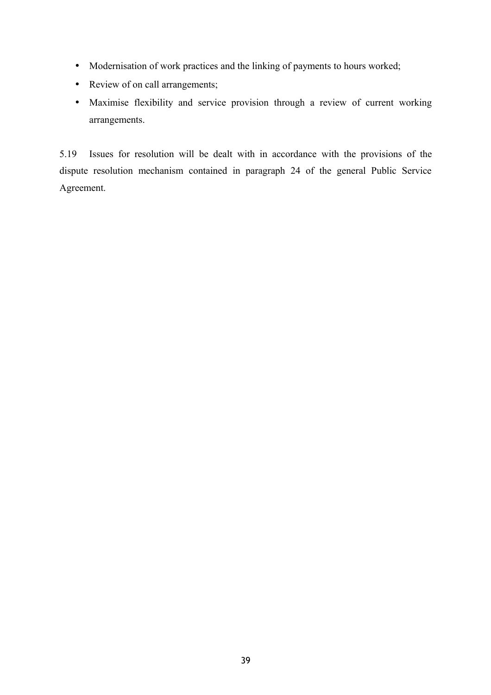- Modernisation of work practices and the linking of payments to hours worked;
- Review of on call arrangements;
- Maximise flexibility and service provision through a review of current working arrangements.

5.19 Issues for resolution will be dealt with in accordance with the provisions of the dispute resolution mechanism contained in paragraph 24 of the general Public Service Agreement.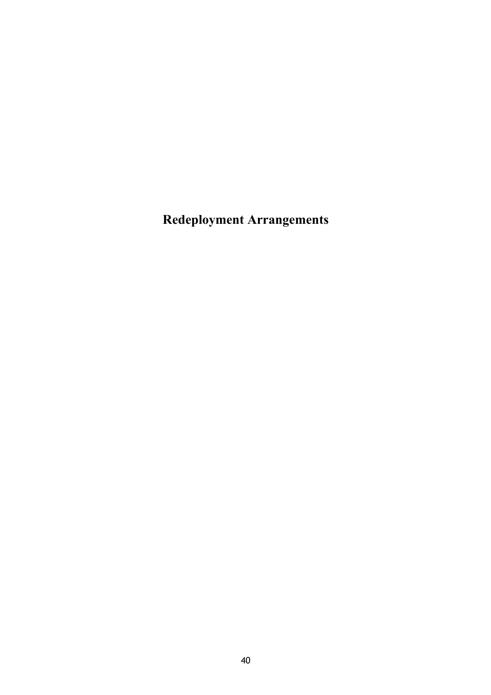**Redeployment Arrangements**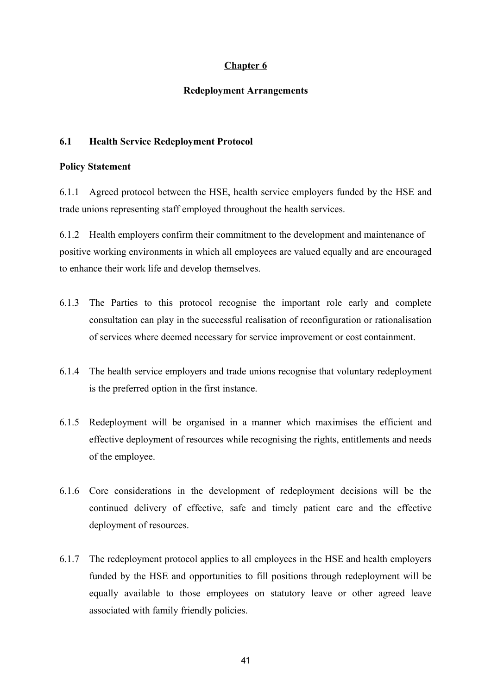# **Chapter 6**

# **Redeployment Arrangements**

# **6.1 Health Service Redeployment Protocol**

# **Policy Statement**

6.1.1 Agreed protocol between the HSE, health service employers funded by the HSE and trade unions representing staff employed throughout the health services.

6.1.2 Health employers confirm their commitment to the development and maintenance of positive working environments in which all employees are valued equally and are encouraged to enhance their work life and develop themselves.

- 6.1.3 The Parties to this protocol recognise the important role early and complete consultation can play in the successful realisation of reconfiguration or rationalisation of services where deemed necessary for service improvement or cost containment.
- 6.1.4 The health service employers and trade unions recognise that voluntary redeployment is the preferred option in the first instance.
- 6.1.5 Redeployment will be organised in a manner which maximises the efficient and effective deployment of resources while recognising the rights, entitlements and needs of the employee.
- 6.1.6 Core considerations in the development of redeployment decisions will be the continued delivery of effective, safe and timely patient care and the effective deployment of resources.
- 6.1.7 The redeployment protocol applies to all employees in the HSE and health employers funded by the HSE and opportunities to fill positions through redeployment will be equally available to those employees on statutory leave or other agreed leave associated with family friendly policies.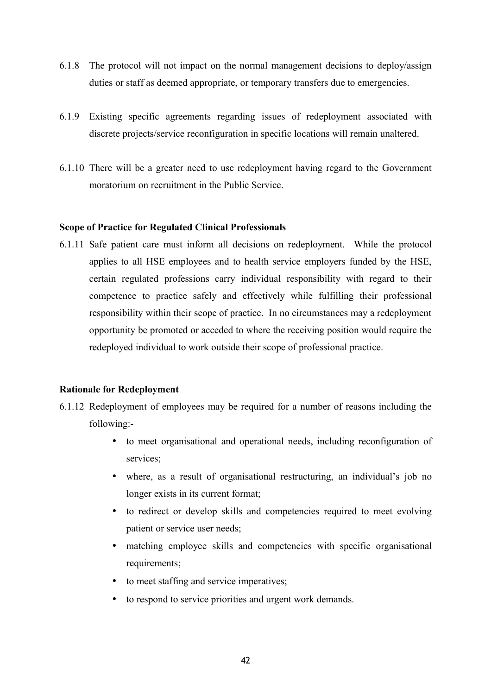- 6.1.8 The protocol will not impact on the normal management decisions to deploy/assign duties or staff as deemed appropriate, or temporary transfers due to emergencies.
- 6.1.9 Existing specific agreements regarding issues of redeployment associated with discrete projects/service reconfiguration in specific locations will remain unaltered.
- 6.1.10 There will be a greater need to use redeployment having regard to the Government moratorium on recruitment in the Public Service.

# **Scope of Practice for Regulated Clinical Professionals**

6.1.11 Safe patient care must inform all decisions on redeployment. While the protocol applies to all HSE employees and to health service employers funded by the HSE, certain regulated professions carry individual responsibility with regard to their competence to practice safely and effectively while fulfilling their professional responsibility within their scope of practice. In no circumstances may a redeployment opportunity be promoted or acceded to where the receiving position would require the redeployed individual to work outside their scope of professional practice.

# **Rationale for Redeployment**

- 6.1.12 Redeployment of employees may be required for a number of reasons including the following:-
	- to meet organisational and operational needs, including reconfiguration of services;
	- where, as a result of organisational restructuring, an individual's job no longer exists in its current format;
	- to redirect or develop skills and competencies required to meet evolving patient or service user needs;
	- matching employee skills and competencies with specific organisational requirements:
	- to meet staffing and service imperatives;
	- to respond to service priorities and urgent work demands.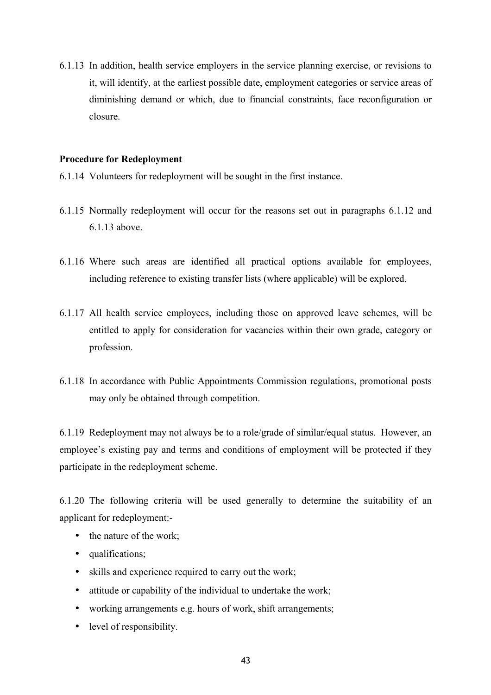6.1.13 In addition, health service employers in the service planning exercise, or revisions to it, will identify, at the earliest possible date, employment categories or service areas of diminishing demand or which, due to financial constraints, face reconfiguration or closure.

### **Procedure for Redeployment**

- 6.1.14 Volunteers for redeployment will be sought in the first instance.
- 6.1.15 Normally redeployment will occur for the reasons set out in paragraphs 6.1.12 and 6.1.13 above.
- 6.1.16 Where such areas are identified all practical options available for employees, including reference to existing transfer lists (where applicable) will be explored.
- 6.1.17 All health service employees, including those on approved leave schemes, will be entitled to apply for consideration for vacancies within their own grade, category or profession.
- 6.1.18 In accordance with Public Appointments Commission regulations, promotional posts may only be obtained through competition.

6.1.19 Redeployment may not always be to a role/grade of similar/equal status. However, an employee's existing pay and terms and conditions of employment will be protected if they participate in the redeployment scheme.

6.1.20 The following criteria will be used generally to determine the suitability of an applicant for redeployment:-

- the nature of the work;
- qualifications;
- skills and experience required to carry out the work;
- attitude or capability of the individual to undertake the work;
- working arrangements e.g. hours of work, shift arrangements;
- level of responsibility.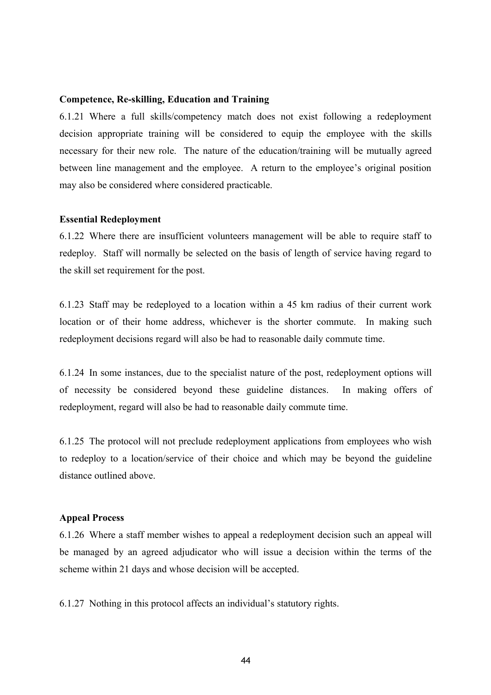### **Competence, Re-skilling, Education and Training**

6.1.21 Where a full skills/competency match does not exist following a redeployment decision appropriate training will be considered to equip the employee with the skills necessary for their new role. The nature of the education/training will be mutually agreed between line management and the employee. A return to the employee's original position may also be considered where considered practicable.

#### **Essential Redeployment**

6.1.22 Where there are insufficient volunteers management will be able to require staff to redeploy. Staff will normally be selected on the basis of length of service having regard to the skill set requirement for the post.

6.1.23 Staff may be redeployed to a location within a 45 km radius of their current work location or of their home address, whichever is the shorter commute. In making such redeployment decisions regard will also be had to reasonable daily commute time.

6.1.24 In some instances, due to the specialist nature of the post, redeployment options will of necessity be considered beyond these guideline distances. In making offers of redeployment, regard will also be had to reasonable daily commute time.

6.1.25 The protocol will not preclude redeployment applications from employees who wish to redeploy to a location/service of their choice and which may be beyond the guideline distance outlined above.

#### **Appeal Process**

6.1.26 Where a staff member wishes to appeal a redeployment decision such an appeal will be managed by an agreed adjudicator who will issue a decision within the terms of the scheme within 21 days and whose decision will be accepted.

6.1.27 Nothing in this protocol affects an individual's statutory rights.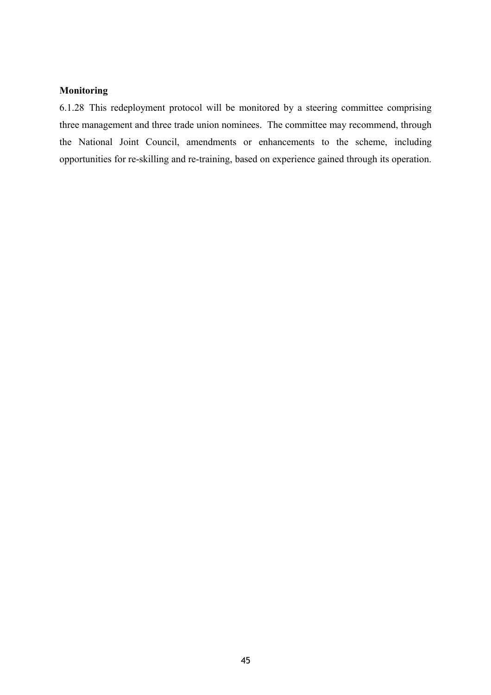# **Monitoring**

6.1.28 This redeployment protocol will be monitored by a steering committee comprising three management and three trade union nominees. The committee may recommend, through the National Joint Council, amendments or enhancements to the scheme, including opportunities for re-skilling and re-training, based on experience gained through its operation.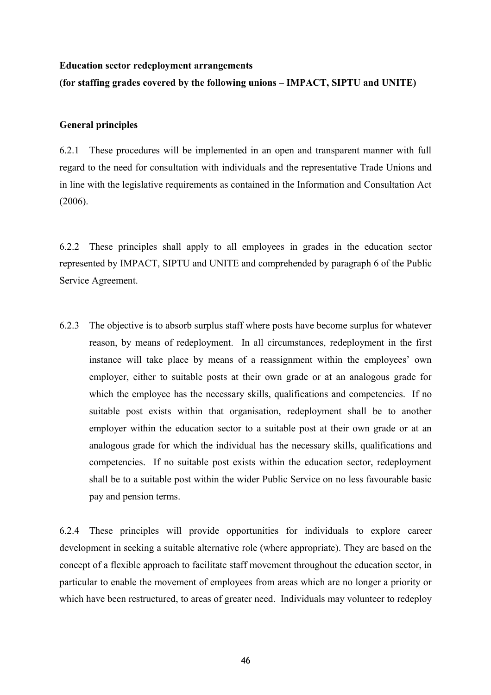#### **Education sector redeployment arrangements**

# **(for staffing grades covered by the following unions – IMPACT, SIPTU and UNITE)**

# **General principles**

6.2.1 These procedures will be implemented in an open and transparent manner with full regard to the need for consultation with individuals and the representative Trade Unions and in line with the legislative requirements as contained in the Information and Consultation Act (2006).

6.2.2 These principles shall apply to all employees in grades in the education sector represented by IMPACT, SIPTU and UNITE and comprehended by paragraph 6 of the Public Service Agreement.

6.2.3 The objective is to absorb surplus staff where posts have become surplus for whatever reason, by means of redeployment. In all circumstances, redeployment in the first instance will take place by means of a reassignment within the employees' own employer, either to suitable posts at their own grade or at an analogous grade for which the employee has the necessary skills, qualifications and competencies. If no suitable post exists within that organisation, redeployment shall be to another employer within the education sector to a suitable post at their own grade or at an analogous grade for which the individual has the necessary skills, qualifications and competencies. If no suitable post exists within the education sector, redeployment shall be to a suitable post within the wider Public Service on no less favourable basic pay and pension terms.

6.2.4 These principles will provide opportunities for individuals to explore career development in seeking a suitable alternative role (where appropriate). They are based on the concept of a flexible approach to facilitate staff movement throughout the education sector, in particular to enable the movement of employees from areas which are no longer a priority or which have been restructured, to areas of greater need. Individuals may volunteer to redeploy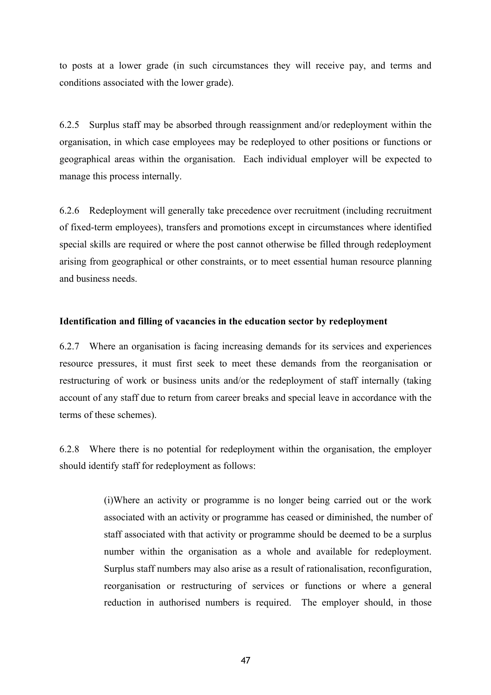to posts at a lower grade (in such circumstances they will receive pay, and terms and conditions associated with the lower grade).

6.2.5 Surplus staff may be absorbed through reassignment and/or redeployment within the organisation, in which case employees may be redeployed to other positions or functions or geographical areas within the organisation. Each individual employer will be expected to manage this process internally.

6.2.6 Redeployment will generally take precedence over recruitment (including recruitment of fixed-term employees), transfers and promotions except in circumstances where identified special skills are required or where the post cannot otherwise be filled through redeployment arising from geographical or other constraints, or to meet essential human resource planning and business needs.

# **Identification and filling of vacancies in the education sector by redeployment**

6.2.7 Where an organisation is facing increasing demands for its services and experiences resource pressures, it must first seek to meet these demands from the reorganisation or restructuring of work or business units and/or the redeployment of staff internally (taking account of any staff due to return from career breaks and special leave in accordance with the terms of these schemes).

6.2.8 Where there is no potential for redeployment within the organisation, the employer should identify staff for redeployment as follows:

> (i)Where an activity or programme is no longer being carried out or the work associated with an activity or programme has ceased or diminished, the number of staff associated with that activity or programme should be deemed to be a surplus number within the organisation as a whole and available for redeployment. Surplus staff numbers may also arise as a result of rationalisation, reconfiguration, reorganisation or restructuring of services or functions or where a general reduction in authorised numbers is required. The employer should, in those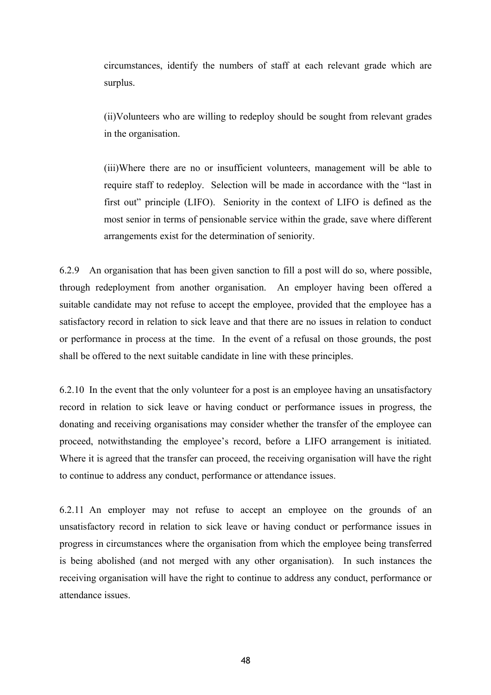circumstances, identify the numbers of staff at each relevant grade which are surplus.

(ii)Volunteers who are willing to redeploy should be sought from relevant grades in the organisation.

(iii)Where there are no or insufficient volunteers, management will be able to require staff to redeploy. Selection will be made in accordance with the "last in first out" principle (LIFO). Seniority in the context of LIFO is defined as the most senior in terms of pensionable service within the grade, save where different arrangements exist for the determination of seniority.

6.2.9 An organisation that has been given sanction to fill a post will do so, where possible, through redeployment from another organisation. An employer having been offered a suitable candidate may not refuse to accept the employee, provided that the employee has a satisfactory record in relation to sick leave and that there are no issues in relation to conduct or performance in process at the time. In the event of a refusal on those grounds, the post shall be offered to the next suitable candidate in line with these principles.

6.2.10 In the event that the only volunteer for a post is an employee having an unsatisfactory record in relation to sick leave or having conduct or performance issues in progress, the donating and receiving organisations may consider whether the transfer of the employee can proceed, notwithstanding the employee's record, before a LIFO arrangement is initiated. Where it is agreed that the transfer can proceed, the receiving organisation will have the right to continue to address any conduct, performance or attendance issues.

6.2.11 An employer may not refuse to accept an employee on the grounds of an unsatisfactory record in relation to sick leave or having conduct or performance issues in progress in circumstances where the organisation from which the employee being transferred is being abolished (and not merged with any other organisation). In such instances the receiving organisation will have the right to continue to address any conduct, performance or attendance issues.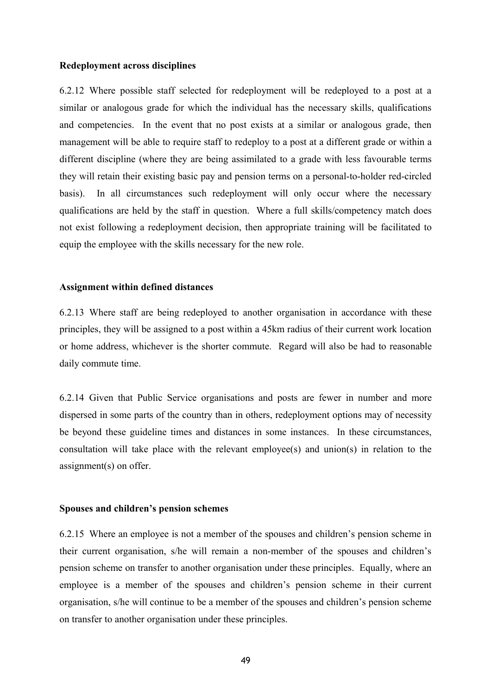#### **Redeployment across disciplines**

6.2.12 Where possible staff selected for redeployment will be redeployed to a post at a similar or analogous grade for which the individual has the necessary skills, qualifications and competencies. In the event that no post exists at a similar or analogous grade, then management will be able to require staff to redeploy to a post at a different grade or within a different discipline (where they are being assimilated to a grade with less favourable terms they will retain their existing basic pay and pension terms on a personal-to-holder red-circled basis). In all circumstances such redeployment will only occur where the necessary qualifications are held by the staff in question. Where a full skills/competency match does not exist following a redeployment decision, then appropriate training will be facilitated to equip the employee with the skills necessary for the new role.

### **Assignment within defined distances**

6.2.13 Where staff are being redeployed to another organisation in accordance with these principles, they will be assigned to a post within a 45km radius of their current work location or home address, whichever is the shorter commute. Regard will also be had to reasonable daily commute time.

6.2.14 Given that Public Service organisations and posts are fewer in number and more dispersed in some parts of the country than in others, redeployment options may of necessity be beyond these guideline times and distances in some instances. In these circumstances, consultation will take place with the relevant employee(s) and union(s) in relation to the assignment(s) on offer.

### **Spouses and children's pension schemes**

6.2.15 Where an employee is not a member of the spouses and children's pension scheme in their current organisation, s/he will remain a non-member of the spouses and children's pension scheme on transfer to another organisation under these principles. Equally, where an employee is a member of the spouses and children's pension scheme in their current organisation, s/he will continue to be a member of the spouses and children's pension scheme on transfer to another organisation under these principles.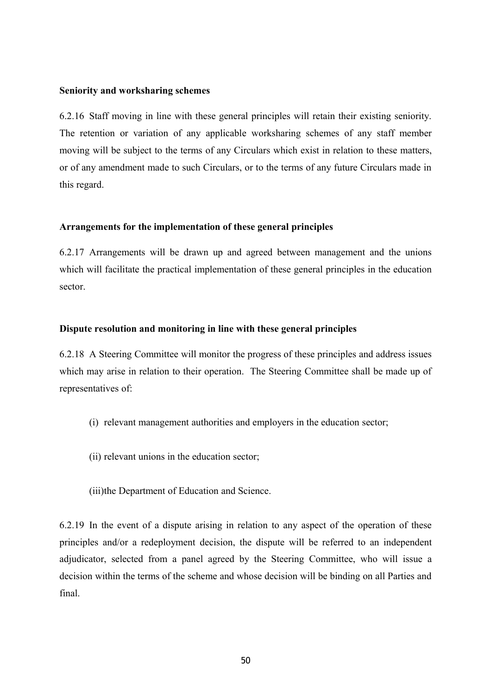### **Seniority and worksharing schemes**

6.2.16 Staff moving in line with these general principles will retain their existing seniority. The retention or variation of any applicable worksharing schemes of any staff member moving will be subject to the terms of any Circulars which exist in relation to these matters, or of any amendment made to such Circulars, or to the terms of any future Circulars made in this regard.

### **Arrangements for the implementation of these general principles**

6.2.17 Arrangements will be drawn up and agreed between management and the unions which will facilitate the practical implementation of these general principles in the education sector.

### **Dispute resolution and monitoring in line with these general principles**

6.2.18 A Steering Committee will monitor the progress of these principles and address issues which may arise in relation to their operation. The Steering Committee shall be made up of representatives of:

- (i) relevant management authorities and employers in the education sector;
- (ii) relevant unions in the education sector;
- (iii)the Department of Education and Science.

6.2.19 In the event of a dispute arising in relation to any aspect of the operation of these principles and/or a redeployment decision, the dispute will be referred to an independent adjudicator, selected from a panel agreed by the Steering Committee, who will issue a decision within the terms of the scheme and whose decision will be binding on all Parties and final.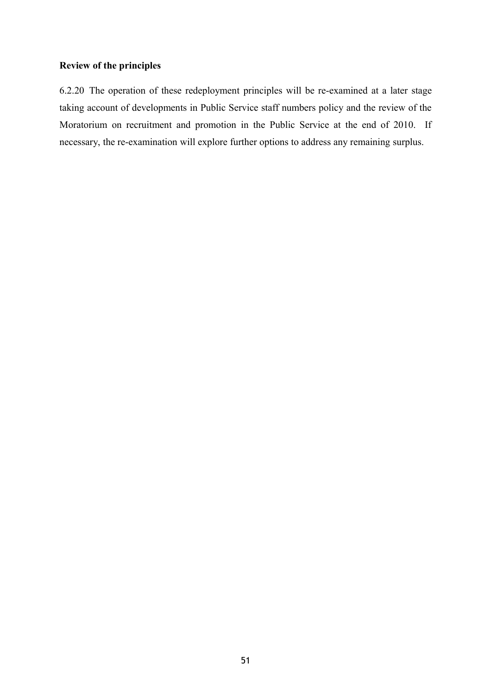# **Review of the principles**

6.2.20 The operation of these redeployment principles will be re-examined at a later stage taking account of developments in Public Service staff numbers policy and the review of the Moratorium on recruitment and promotion in the Public Service at the end of 2010. If necessary, the re-examination will explore further options to address any remaining surplus.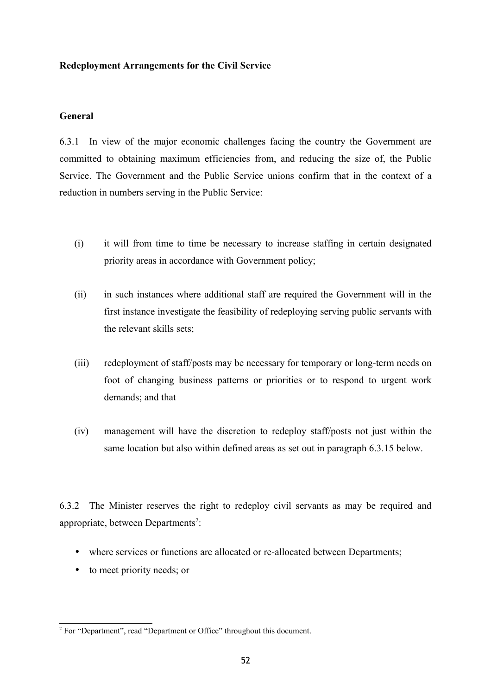# **Redeployment Arrangements for the Civil Service**

# **General**

6.3.1 In view of the major economic challenges facing the country the Government are committed to obtaining maximum efficiencies from, and reducing the size of, the Public Service. The Government and the Public Service unions confirm that in the context of a reduction in numbers serving in the Public Service:

- (i) it will from time to time be necessary to increase staffing in certain designated priority areas in accordance with Government policy;
- (ii) in such instances where additional staff are required the Government will in the first instance investigate the feasibility of redeploying serving public servants with the relevant skills sets;
- (iii) redeployment of staff/posts may be necessary for temporary or long-term needs on foot of changing business patterns or priorities or to respond to urgent work demands; and that
- (iv) management will have the discretion to redeploy staff/posts not just within the same location but also within defined areas as set out in paragraph 6.3.15 below.

6.3.2 The Minister reserves the right to redeploy civil servants as may be required and appropriate, between Departments<sup>[2](#page-51-0)</sup>:

- where services or functions are allocated or re-allocated between Departments;
- to meet priority needs; or

<span id="page-51-0"></span> $2^2$  For "Department", read "Department or Office" throughout this document.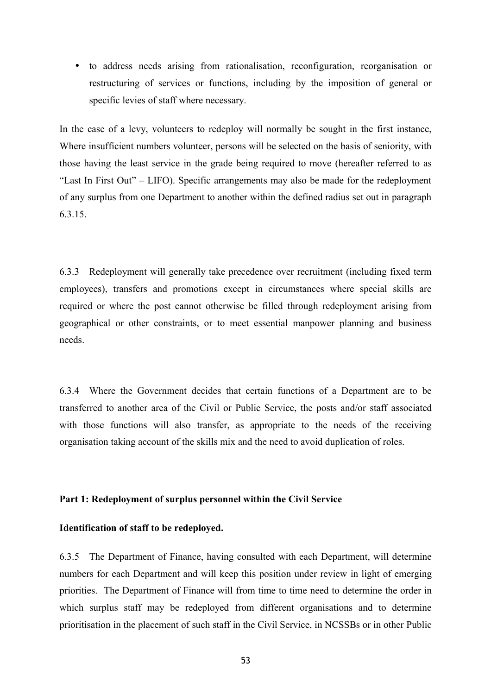• to address needs arising from rationalisation, reconfiguration, reorganisation or restructuring of services or functions, including by the imposition of general or specific levies of staff where necessary.

In the case of a levy, volunteers to redeploy will normally be sought in the first instance, Where insufficient numbers volunteer, persons will be selected on the basis of seniority, with those having the least service in the grade being required to move (hereafter referred to as "Last In First Out" – LIFO). Specific arrangements may also be made for the redeployment of any surplus from one Department to another within the defined radius set out in paragraph 6.3.15.

6.3.3 Redeployment will generally take precedence over recruitment (including fixed term employees), transfers and promotions except in circumstances where special skills are required or where the post cannot otherwise be filled through redeployment arising from geographical or other constraints, or to meet essential manpower planning and business needs.

6.3.4 Where the Government decides that certain functions of a Department are to be transferred to another area of the Civil or Public Service, the posts and/or staff associated with those functions will also transfer, as appropriate to the needs of the receiving organisation taking account of the skills mix and the need to avoid duplication of roles.

### **Part 1: Redeployment of surplus personnel within the Civil Service**

# **Identification of staff to be redeployed.**

6.3.5 The Department of Finance, having consulted with each Department, will determine numbers for each Department and will keep this position under review in light of emerging priorities. The Department of Finance will from time to time need to determine the order in which surplus staff may be redeployed from different organisations and to determine prioritisation in the placement of such staff in the Civil Service, in NCSSBs or in other Public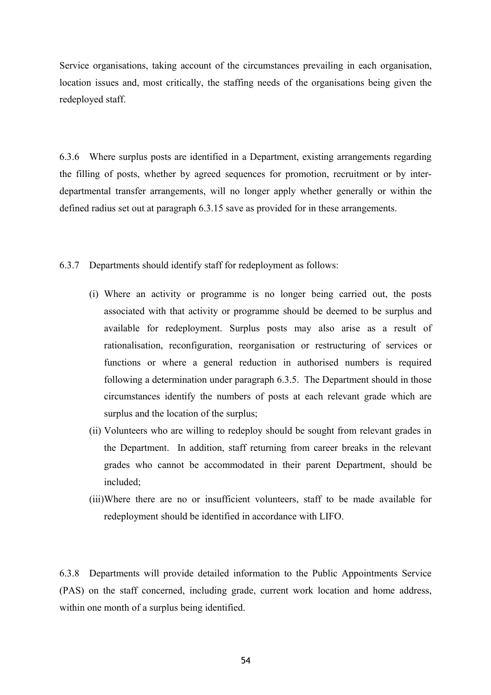Service organisations, taking account of the circumstances prevailing in each organisation, location issues and, most critically, the staffing needs of the organisations being given the redeployed staff.

6.3.6 Where surplus posts are identified in a Department, existing arrangements regarding the filling of posts, whether by agreed sequences for promotion, recruitment or by interdepartmental transfer arrangements, will no longer apply whether generally or within the defined radius set out at paragraph 6.3.15 save as provided for in these arrangements.

6.3.7 Departments should identify staff for redeployment as follows:

- (i) Where an activity or programme is no longer being carried out, the posts associated with that activity or programme should be deemed to be surplus and available for redeployment. Surplus posts may also arise as a result of rationalisation, reconfiguration, reorganisation or restructuring of services or functions or where a general reduction in authorised numbers is required following a determination under paragraph 6.3.5. The Department should in those circumstances identify the numbers of posts at each relevant grade which are surplus and the location of the surplus;
- (ii) Volunteers who are willing to redeploy should be sought from relevant grades in the Department. In addition, staff returning from career breaks in the relevant grades who cannot be accommodated in their parent Department, should be included;
- (iii)Where there are no or insufficient volunteers, staff to be made available for redeployment should be identified in accordance with LIFO.

6.3.8 Departments will provide detailed information to the Public Appointments Service (PAS) on the staff concerned, including grade, current work location and home address, within one month of a surplus being identified.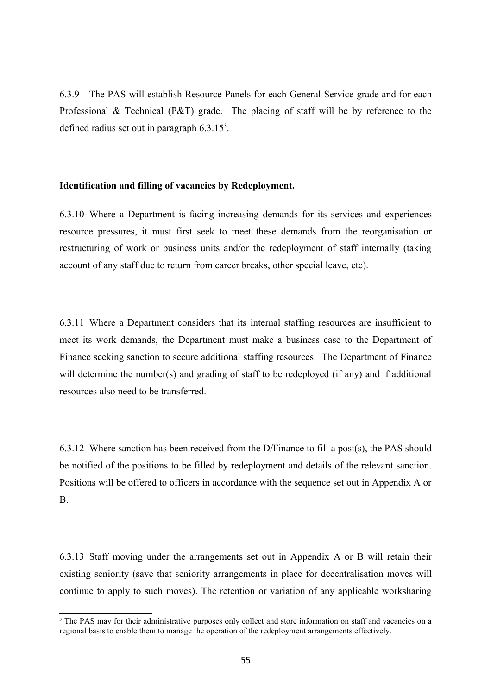6.3.9 The PAS will establish Resource Panels for each General Service grade and for each Professional & Technical (P&T) grade. The placing of staff will be by reference to the defined radius set out in paragraph  $6.3.15<sup>3</sup>$  $6.3.15<sup>3</sup>$  $6.3.15<sup>3</sup>$ .

### **Identification and filling of vacancies by Redeployment.**

6.3.10 Where a Department is facing increasing demands for its services and experiences resource pressures, it must first seek to meet these demands from the reorganisation or restructuring of work or business units and/or the redeployment of staff internally (taking account of any staff due to return from career breaks, other special leave, etc).

6.3.11 Where a Department considers that its internal staffing resources are insufficient to meet its work demands, the Department must make a business case to the Department of Finance seeking sanction to secure additional staffing resources. The Department of Finance will determine the number(s) and grading of staff to be redeployed (if any) and if additional resources also need to be transferred.

6.3.12 Where sanction has been received from the D/Finance to fill a post(s), the PAS should be notified of the positions to be filled by redeployment and details of the relevant sanction. Positions will be offered to officers in accordance with the sequence set out in Appendix A or B.

6.3.13 Staff moving under the arrangements set out in Appendix A or B will retain their existing seniority (save that seniority arrangements in place for decentralisation moves will continue to apply to such moves). The retention or variation of any applicable worksharing

<span id="page-54-0"></span><sup>&</sup>lt;sup>3</sup> The PAS may for their administrative purposes only collect and store information on staff and vacancies on a regional basis to enable them to manage the operation of the redeployment arrangements effectively.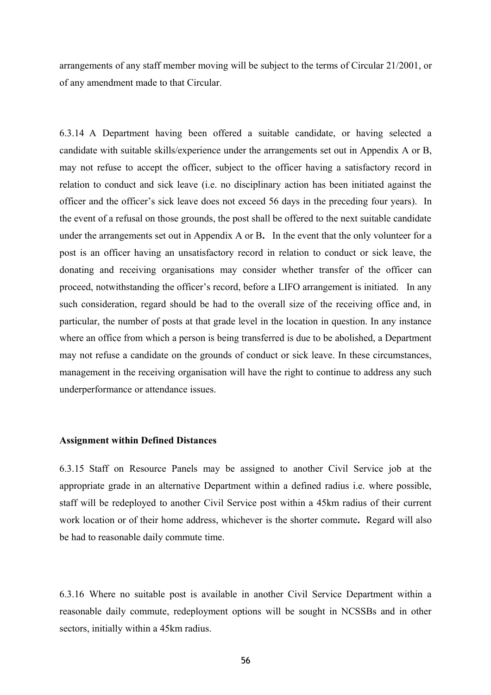arrangements of any staff member moving will be subject to the terms of Circular 21/2001, or of any amendment made to that Circular.

6.3.14 A Department having been offered a suitable candidate, or having selected a candidate with suitable skills/experience under the arrangements set out in Appendix A or B, may not refuse to accept the officer, subject to the officer having a satisfactory record in relation to conduct and sick leave (i.e. no disciplinary action has been initiated against the officer and the officer's sick leave does not exceed 56 days in the preceding four years). In the event of a refusal on those grounds, the post shall be offered to the next suitable candidate under the arrangements set out in Appendix A or B**.** In the event that the only volunteer for a post is an officer having an unsatisfactory record in relation to conduct or sick leave, the donating and receiving organisations may consider whether transfer of the officer can proceed, notwithstanding the officer's record, before a LIFO arrangement is initiated. In any such consideration, regard should be had to the overall size of the receiving office and, in particular, the number of posts at that grade level in the location in question. In any instance where an office from which a person is being transferred is due to be abolished, a Department may not refuse a candidate on the grounds of conduct or sick leave. In these circumstances, management in the receiving organisation will have the right to continue to address any such underperformance or attendance issues.

#### **Assignment within Defined Distances**

6.3.15 Staff on Resource Panels may be assigned to another Civil Service job at the appropriate grade in an alternative Department within a defined radius i.e. where possible, staff will be redeployed to another Civil Service post within a 45km radius of their current work location or of their home address, whichever is the shorter commute**.** Regard will also be had to reasonable daily commute time.

6.3.16 Where no suitable post is available in another Civil Service Department within a reasonable daily commute, redeployment options will be sought in NCSSBs and in other sectors, initially within a 45km radius.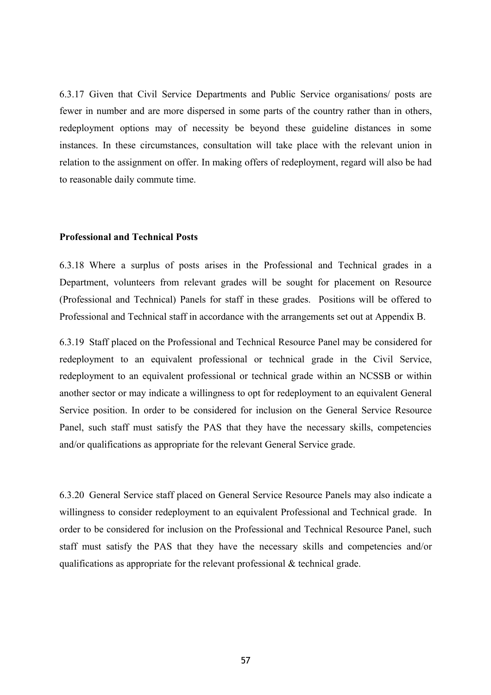6.3.17 Given that Civil Service Departments and Public Service organisations/ posts are fewer in number and are more dispersed in some parts of the country rather than in others, redeployment options may of necessity be beyond these guideline distances in some instances. In these circumstances, consultation will take place with the relevant union in relation to the assignment on offer. In making offers of redeployment, regard will also be had to reasonable daily commute time.

#### **Professional and Technical Posts**

6.3.18 Where a surplus of posts arises in the Professional and Technical grades in a Department, volunteers from relevant grades will be sought for placement on Resource (Professional and Technical) Panels for staff in these grades. Positions will be offered to Professional and Technical staff in accordance with the arrangements set out at Appendix B.

6.3.19 Staff placed on the Professional and Technical Resource Panel may be considered for redeployment to an equivalent professional or technical grade in the Civil Service, redeployment to an equivalent professional or technical grade within an NCSSB or within another sector or may indicate a willingness to opt for redeployment to an equivalent General Service position. In order to be considered for inclusion on the General Service Resource Panel, such staff must satisfy the PAS that they have the necessary skills, competencies and/or qualifications as appropriate for the relevant General Service grade.

6.3.20 General Service staff placed on General Service Resource Panels may also indicate a willingness to consider redeployment to an equivalent Professional and Technical grade. In order to be considered for inclusion on the Professional and Technical Resource Panel, such staff must satisfy the PAS that they have the necessary skills and competencies and/or qualifications as appropriate for the relevant professional & technical grade.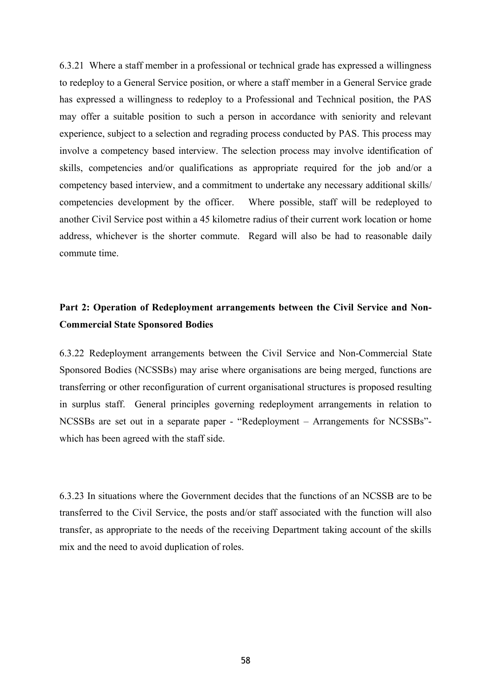6.3.21 Where a staff member in a professional or technical grade has expressed a willingness to redeploy to a General Service position, or where a staff member in a General Service grade has expressed a willingness to redeploy to a Professional and Technical position, the PAS may offer a suitable position to such a person in accordance with seniority and relevant experience, subject to a selection and regrading process conducted by PAS. This process may involve a competency based interview. The selection process may involve identification of skills, competencies and/or qualifications as appropriate required for the job and/or a competency based interview, and a commitment to undertake any necessary additional skills/ competencies development by the officer. Where possible, staff will be redeployed to another Civil Service post within a 45 kilometre radius of their current work location or home address, whichever is the shorter commute. Regard will also be had to reasonable daily commute time.

# **Part 2: Operation of Redeployment arrangements between the Civil Service and Non-Commercial State Sponsored Bodies**

6.3.22 Redeployment arrangements between the Civil Service and Non-Commercial State Sponsored Bodies (NCSSBs) may arise where organisations are being merged, functions are transferring or other reconfiguration of current organisational structures is proposed resulting in surplus staff. General principles governing redeployment arrangements in relation to NCSSBs are set out in a separate paper - "Redeployment – Arrangements for NCSSBs" which has been agreed with the staff side.

6.3.23 In situations where the Government decides that the functions of an NCSSB are to be transferred to the Civil Service, the posts and/or staff associated with the function will also transfer, as appropriate to the needs of the receiving Department taking account of the skills mix and the need to avoid duplication of roles.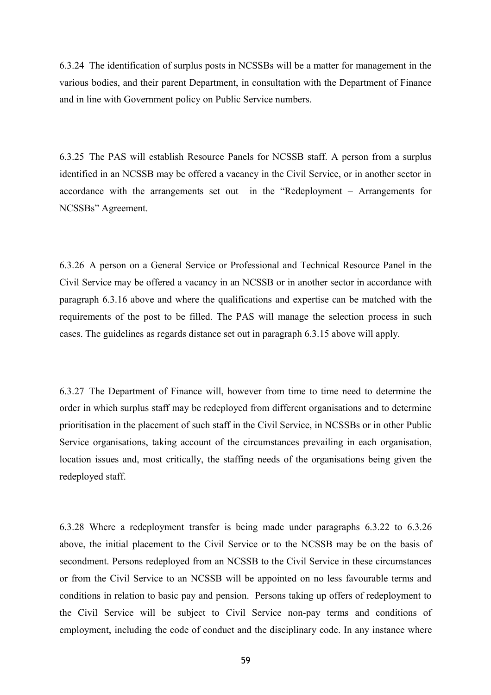6.3.24 The identification of surplus posts in NCSSBs will be a matter for management in the various bodies, and their parent Department, in consultation with the Department of Finance and in line with Government policy on Public Service numbers.

6.3.25 The PAS will establish Resource Panels for NCSSB staff. A person from a surplus identified in an NCSSB may be offered a vacancy in the Civil Service, or in another sector in accordance with the arrangements set out in the "Redeployment – Arrangements for NCSSBs" Agreement.

6.3.26 A person on a General Service or Professional and Technical Resource Panel in the Civil Service may be offered a vacancy in an NCSSB or in another sector in accordance with paragraph 6.3.16 above and where the qualifications and expertise can be matched with the requirements of the post to be filled. The PAS will manage the selection process in such cases. The guidelines as regards distance set out in paragraph 6.3.15 above will apply.

6.3.27 The Department of Finance will, however from time to time need to determine the order in which surplus staff may be redeployed from different organisations and to determine prioritisation in the placement of such staff in the Civil Service, in NCSSBs or in other Public Service organisations, taking account of the circumstances prevailing in each organisation, location issues and, most critically, the staffing needs of the organisations being given the redeployed staff.

6.3.28 Where a redeployment transfer is being made under paragraphs 6.3.22 to 6.3.26 above, the initial placement to the Civil Service or to the NCSSB may be on the basis of secondment. Persons redeployed from an NCSSB to the Civil Service in these circumstances or from the Civil Service to an NCSSB will be appointed on no less favourable terms and conditions in relation to basic pay and pension. Persons taking up offers of redeployment to the Civil Service will be subject to Civil Service non-pay terms and conditions of employment, including the code of conduct and the disciplinary code. In any instance where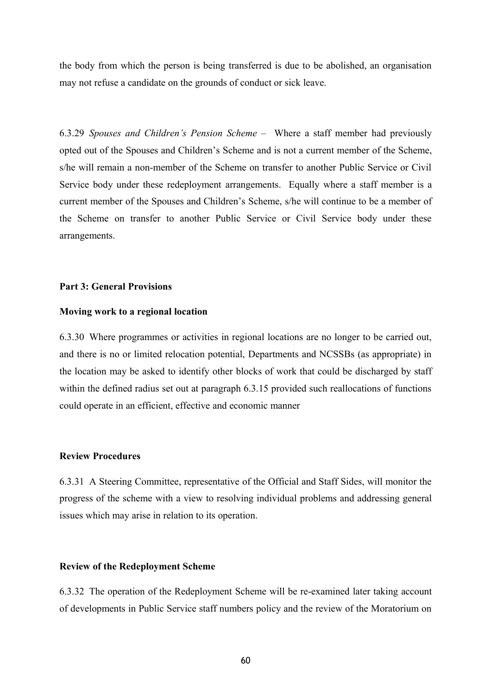the body from which the person is being transferred is due to be abolished, an organisation may not refuse a candidate on the grounds of conduct or sick leave.

6.3.29 *Spouses and Children's Pension Scheme* – Where a staff member had previously opted out of the Spouses and Children's Scheme and is not a current member of the Scheme, s/he will remain a non-member of the Scheme on transfer to another Public Service or Civil Service body under these redeployment arrangements. Equally where a staff member is a current member of the Spouses and Children's Scheme, s/he will continue to be a member of the Scheme on transfer to another Public Service or Civil Service body under these arrangements.

### **Part 3: General Provisions**

#### **Moving work to a regional location**

6.3.30 Where programmes or activities in regional locations are no longer to be carried out, and there is no or limited relocation potential, Departments and NCSSBs (as appropriate) in the location may be asked to identify other blocks of work that could be discharged by staff within the defined radius set out at paragraph 6.3.15 provided such reallocations of functions could operate in an efficient, effective and economic manner

# **Review Procedures**

6.3.31 A Steering Committee, representative of the Official and Staff Sides, will monitor the progress of the scheme with a view to resolving individual problems and addressing general issues which may arise in relation to its operation.

#### **Review of the Redeployment Scheme**

6.3.32 The operation of the Redeployment Scheme will be re-examined later taking account of developments in Public Service staff numbers policy and the review of the Moratorium on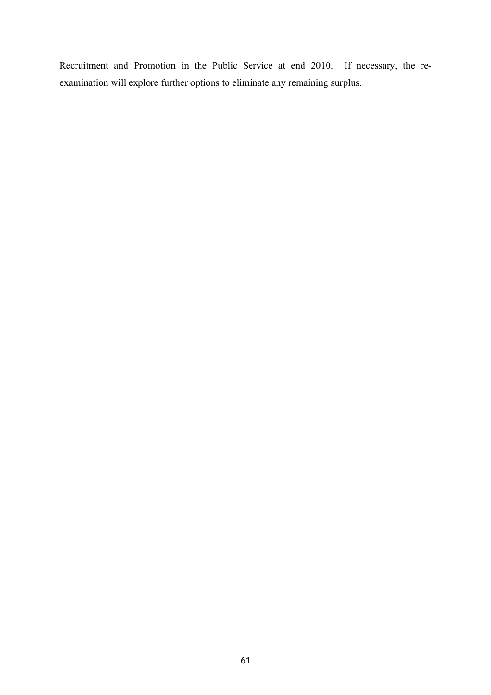Recruitment and Promotion in the Public Service at end 2010. If necessary, the reexamination will explore further options to eliminate any remaining surplus.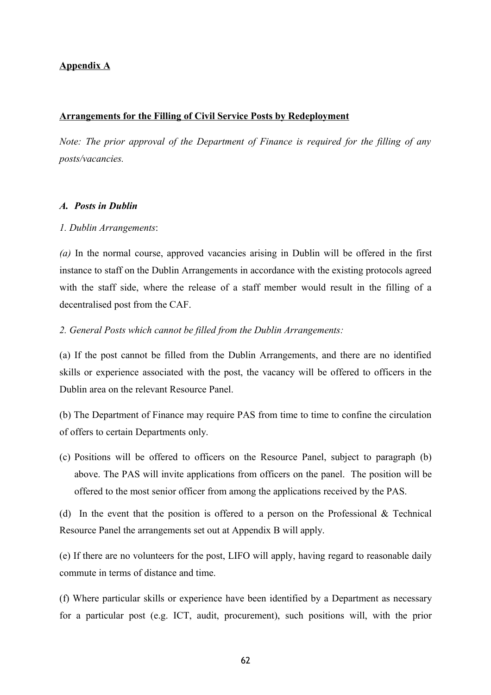# **Appendix A**

#### **Arrangements for the Filling of Civil Service Posts by Redeployment**

*Note: The prior approval of the Department of Finance is required for the filling of any posts/vacancies.* 

#### *A. Posts in Dublin*

#### *1. Dublin Arrangements*:

*(a)* In the normal course, approved vacancies arising in Dublin will be offered in the first instance to staff on the Dublin Arrangements in accordance with the existing protocols agreed with the staff side, where the release of a staff member would result in the filling of a decentralised post from the CAF.

#### *2. General Posts which cannot be filled from the Dublin Arrangements:*

(a) If the post cannot be filled from the Dublin Arrangements, and there are no identified skills or experience associated with the post, the vacancy will be offered to officers in the Dublin area on the relevant Resource Panel.

(b) The Department of Finance may require PAS from time to time to confine the circulation of offers to certain Departments only.

(c) Positions will be offered to officers on the Resource Panel, subject to paragraph (b) above. The PAS will invite applications from officers on the panel. The position will be offered to the most senior officer from among the applications received by the PAS.

(d) In the event that the position is offered to a person on the Professional & Technical Resource Panel the arrangements set out at Appendix B will apply.

(e) If there are no volunteers for the post, LIFO will apply, having regard to reasonable daily commute in terms of distance and time.

(f) Where particular skills or experience have been identified by a Department as necessary for a particular post (e.g. ICT, audit, procurement), such positions will, with the prior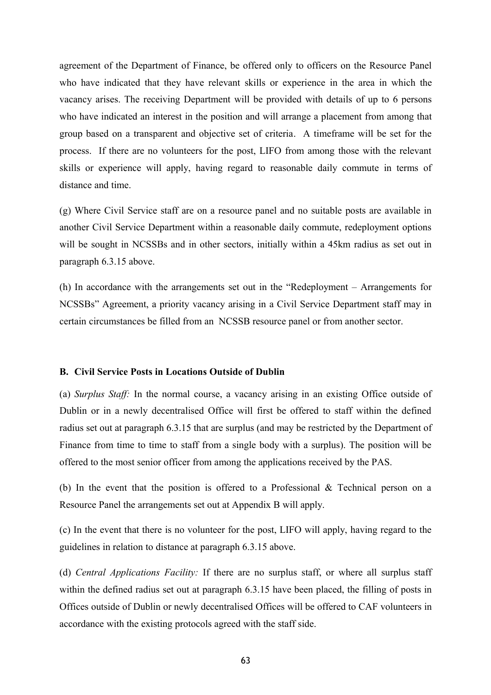agreement of the Department of Finance, be offered only to officers on the Resource Panel who have indicated that they have relevant skills or experience in the area in which the vacancy arises. The receiving Department will be provided with details of up to 6 persons who have indicated an interest in the position and will arrange a placement from among that group based on a transparent and objective set of criteria. A timeframe will be set for the process. If there are no volunteers for the post, LIFO from among those with the relevant skills or experience will apply, having regard to reasonable daily commute in terms of distance and time.

(g) Where Civil Service staff are on a resource panel and no suitable posts are available in another Civil Service Department within a reasonable daily commute, redeployment options will be sought in NCSSBs and in other sectors, initially within a 45km radius as set out in paragraph 6.3.15 above.

(h) In accordance with the arrangements set out in the "Redeployment – Arrangements for NCSSBs" Agreement, a priority vacancy arising in a Civil Service Department staff may in certain circumstances be filled from an NCSSB resource panel or from another sector.

# **B. Civil Service Posts in Locations Outside of Dublin**

(a) *Surplus Staff:* In the normal course, a vacancy arising in an existing Office outside of Dublin or in a newly decentralised Office will first be offered to staff within the defined radius set out at paragraph 6.3.15 that are surplus (and may be restricted by the Department of Finance from time to time to staff from a single body with a surplus). The position will be offered to the most senior officer from among the applications received by the PAS.

(b) In the event that the position is offered to a Professional & Technical person on a Resource Panel the arrangements set out at Appendix B will apply.

(c) In the event that there is no volunteer for the post, LIFO will apply, having regard to the guidelines in relation to distance at paragraph 6.3.15 above.

(d) *Central Applications Facility:* If there are no surplus staff, or where all surplus staff within the defined radius set out at paragraph 6.3.15 have been placed, the filling of posts in Offices outside of Dublin or newly decentralised Offices will be offered to CAF volunteers in accordance with the existing protocols agreed with the staff side.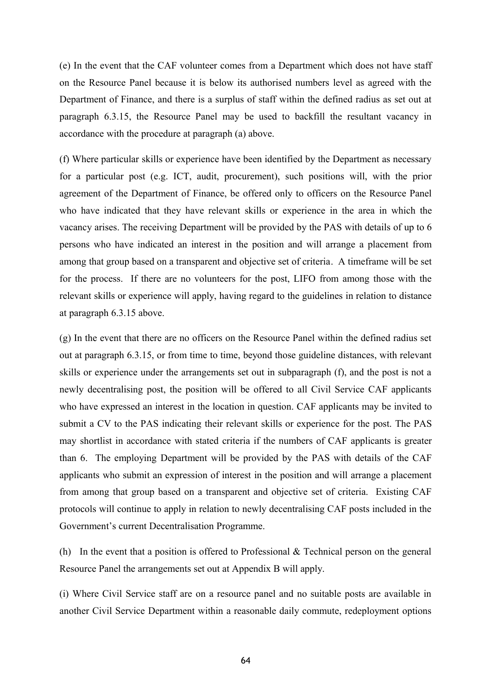(e) In the event that the CAF volunteer comes from a Department which does not have staff on the Resource Panel because it is below its authorised numbers level as agreed with the Department of Finance, and there is a surplus of staff within the defined radius as set out at paragraph 6.3.15, the Resource Panel may be used to backfill the resultant vacancy in accordance with the procedure at paragraph (a) above.

(f) Where particular skills or experience have been identified by the Department as necessary for a particular post (e.g. ICT, audit, procurement), such positions will, with the prior agreement of the Department of Finance, be offered only to officers on the Resource Panel who have indicated that they have relevant skills or experience in the area in which the vacancy arises. The receiving Department will be provided by the PAS with details of up to 6 persons who have indicated an interest in the position and will arrange a placement from among that group based on a transparent and objective set of criteria. A timeframe will be set for the process. If there are no volunteers for the post, LIFO from among those with the relevant skills or experience will apply, having regard to the guidelines in relation to distance at paragraph 6.3.15 above.

(g) In the event that there are no officers on the Resource Panel within the defined radius set out at paragraph 6.3.15, or from time to time, beyond those guideline distances, with relevant skills or experience under the arrangements set out in subparagraph (f), and the post is not a newly decentralising post, the position will be offered to all Civil Service CAF applicants who have expressed an interest in the location in question. CAF applicants may be invited to submit a CV to the PAS indicating their relevant skills or experience for the post. The PAS may shortlist in accordance with stated criteria if the numbers of CAF applicants is greater than 6. The employing Department will be provided by the PAS with details of the CAF applicants who submit an expression of interest in the position and will arrange a placement from among that group based on a transparent and objective set of criteria. Existing CAF protocols will continue to apply in relation to newly decentralising CAF posts included in the Government's current Decentralisation Programme.

(h) In the event that a position is offered to Professional & Technical person on the general Resource Panel the arrangements set out at Appendix B will apply.

(i) Where Civil Service staff are on a resource panel and no suitable posts are available in another Civil Service Department within a reasonable daily commute, redeployment options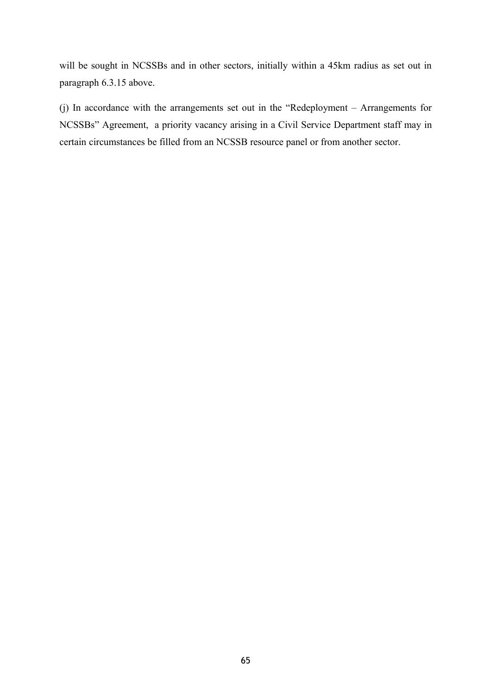will be sought in NCSSBs and in other sectors, initially within a 45km radius as set out in paragraph 6.3.15 above.

(j) In accordance with the arrangements set out in the "Redeployment – Arrangements for NCSSBs" Agreement, a priority vacancy arising in a Civil Service Department staff may in certain circumstances be filled from an NCSSB resource panel or from another sector.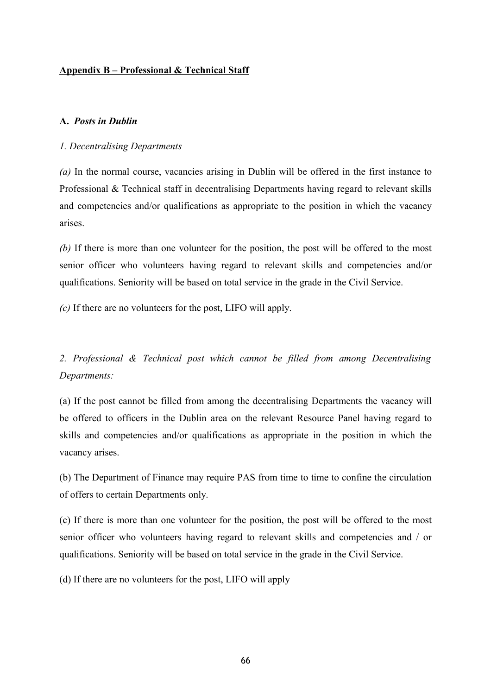# **Appendix B – Professional & Technical Staff**

# **A.** *Posts in Dublin*

# *1. Decentralising Departments*

*(a)* In the normal course, vacancies arising in Dublin will be offered in the first instance to Professional & Technical staff in decentralising Departments having regard to relevant skills and competencies and/or qualifications as appropriate to the position in which the vacancy arises.

*(b)* If there is more than one volunteer for the position, the post will be offered to the most senior officer who volunteers having regard to relevant skills and competencies and/or qualifications. Seniority will be based on total service in the grade in the Civil Service.

*(c)* If there are no volunteers for the post, LIFO will apply.

*2. Professional & Technical post which cannot be filled from among Decentralising Departments:*

(a) If the post cannot be filled from among the decentralising Departments the vacancy will be offered to officers in the Dublin area on the relevant Resource Panel having regard to skills and competencies and/or qualifications as appropriate in the position in which the vacancy arises.

(b) The Department of Finance may require PAS from time to time to confine the circulation of offers to certain Departments only.

(c) If there is more than one volunteer for the position, the post will be offered to the most senior officer who volunteers having regard to relevant skills and competencies and / or qualifications. Seniority will be based on total service in the grade in the Civil Service.

(d) If there are no volunteers for the post, LIFO will apply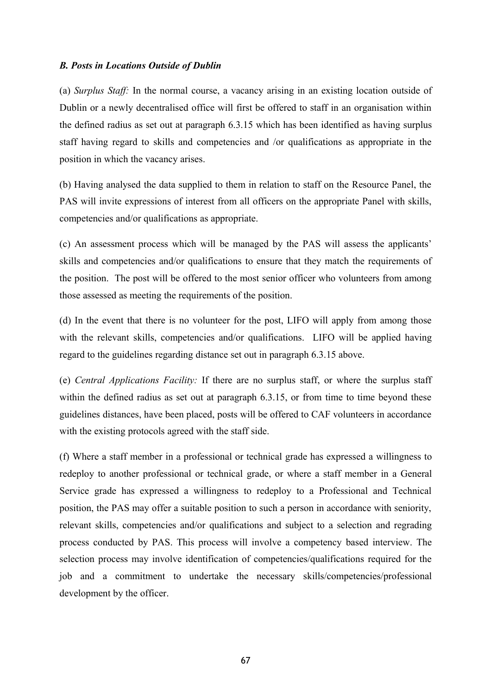# *B. Posts in Locations Outside of Dublin*

(a) *Surplus Staff:* In the normal course, a vacancy arising in an existing location outside of Dublin or a newly decentralised office will first be offered to staff in an organisation within the defined radius as set out at paragraph 6.3.15 which has been identified as having surplus staff having regard to skills and competencies and /or qualifications as appropriate in the position in which the vacancy arises.

(b) Having analysed the data supplied to them in relation to staff on the Resource Panel, the PAS will invite expressions of interest from all officers on the appropriate Panel with skills, competencies and/or qualifications as appropriate.

(c) An assessment process which will be managed by the PAS will assess the applicants' skills and competencies and/or qualifications to ensure that they match the requirements of the position. The post will be offered to the most senior officer who volunteers from among those assessed as meeting the requirements of the position.

(d) In the event that there is no volunteer for the post, LIFO will apply from among those with the relevant skills, competencies and/or qualifications. LIFO will be applied having regard to the guidelines regarding distance set out in paragraph 6.3.15 above.

(e) *Central Applications Facility:* If there are no surplus staff, or where the surplus staff within the defined radius as set out at paragraph 6.3.15, or from time to time beyond these guidelines distances, have been placed, posts will be offered to CAF volunteers in accordance with the existing protocols agreed with the staff side.

(f) Where a staff member in a professional or technical grade has expressed a willingness to redeploy to another professional or technical grade, or where a staff member in a General Service grade has expressed a willingness to redeploy to a Professional and Technical position, the PAS may offer a suitable position to such a person in accordance with seniority, relevant skills, competencies and/or qualifications and subject to a selection and regrading process conducted by PAS. This process will involve a competency based interview. The selection process may involve identification of competencies/qualifications required for the job and a commitment to undertake the necessary skills/competencies/professional development by the officer.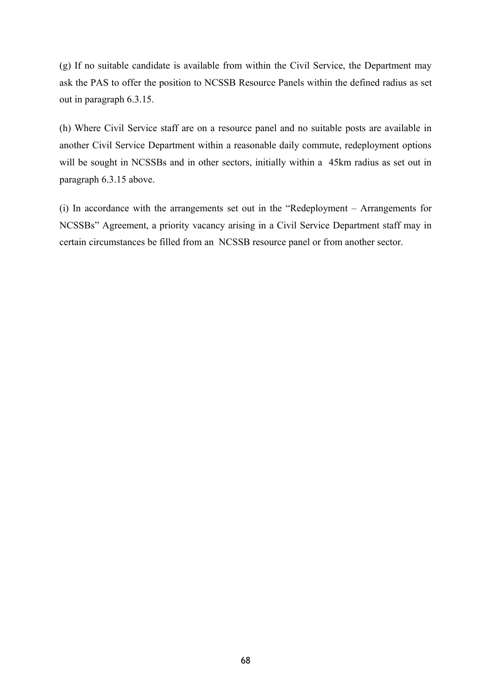(g) If no suitable candidate is available from within the Civil Service, the Department may ask the PAS to offer the position to NCSSB Resource Panels within the defined radius as set out in paragraph 6.3.15.

(h) Where Civil Service staff are on a resource panel and no suitable posts are available in another Civil Service Department within a reasonable daily commute, redeployment options will be sought in NCSSBs and in other sectors, initially within a 45km radius as set out in paragraph 6.3.15 above.

(i) In accordance with the arrangements set out in the "Redeployment – Arrangements for NCSSBs" Agreement, a priority vacancy arising in a Civil Service Department staff may in certain circumstances be filled from an NCSSB resource panel or from another sector.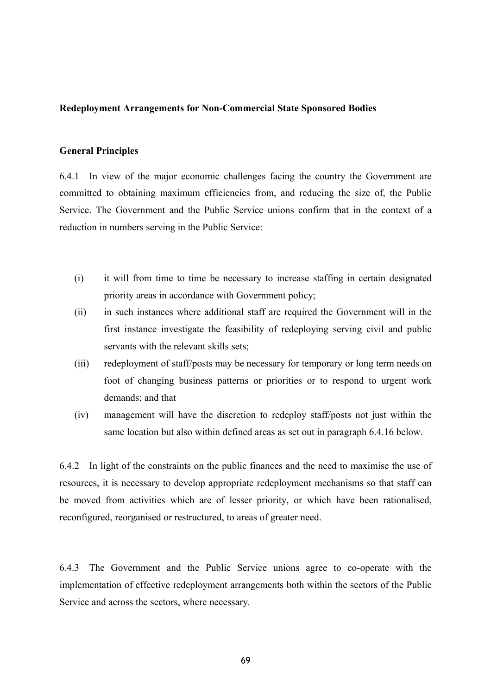### **Redeployment Arrangements for Non-Commercial State Sponsored Bodies**

### **General Principles**

6.4.1 In view of the major economic challenges facing the country the Government are committed to obtaining maximum efficiencies from, and reducing the size of, the Public Service. The Government and the Public Service unions confirm that in the context of a reduction in numbers serving in the Public Service:

- (i) it will from time to time be necessary to increase staffing in certain designated priority areas in accordance with Government policy;
- (ii) in such instances where additional staff are required the Government will in the first instance investigate the feasibility of redeploying serving civil and public servants with the relevant skills sets;
- (iii) redeployment of staff/posts may be necessary for temporary or long term needs on foot of changing business patterns or priorities or to respond to urgent work demands; and that
- (iv) management will have the discretion to redeploy staff/posts not just within the same location but also within defined areas as set out in paragraph 6.4.16 below.

6.4.2 In light of the constraints on the public finances and the need to maximise the use of resources, it is necessary to develop appropriate redeployment mechanisms so that staff can be moved from activities which are of lesser priority, or which have been rationalised, reconfigured, reorganised or restructured, to areas of greater need.

6.4.3 The Government and the Public Service unions agree to co-operate with the implementation of effective redeployment arrangements both within the sectors of the Public Service and across the sectors, where necessary.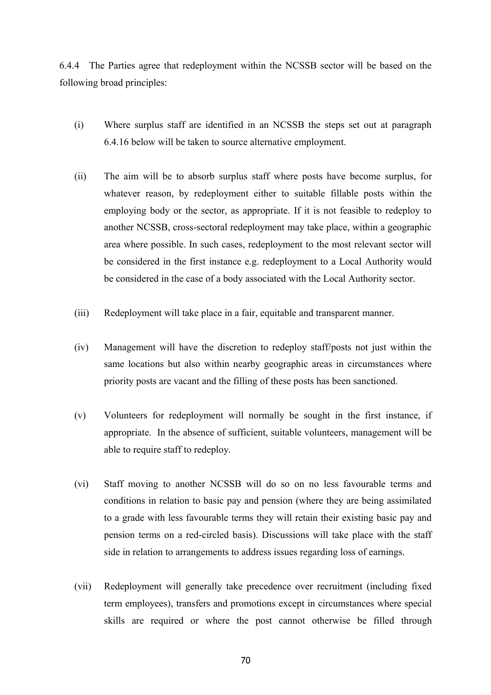6.4.4 The Parties agree that redeployment within the NCSSB sector will be based on the following broad principles:

- (i) Where surplus staff are identified in an NCSSB the steps set out at paragraph 6.4.16 below will be taken to source alternative employment.
- (ii) The aim will be to absorb surplus staff where posts have become surplus, for whatever reason, by redeployment either to suitable fillable posts within the employing body or the sector, as appropriate. If it is not feasible to redeploy to another NCSSB, cross-sectoral redeployment may take place, within a geographic area where possible. In such cases, redeployment to the most relevant sector will be considered in the first instance e.g. redeployment to a Local Authority would be considered in the case of a body associated with the Local Authority sector.
- (iii) Redeployment will take place in a fair, equitable and transparent manner.
- (iv) Management will have the discretion to redeploy staff/posts not just within the same locations but also within nearby geographic areas in circumstances where priority posts are vacant and the filling of these posts has been sanctioned.
- (v) Volunteers for redeployment will normally be sought in the first instance, if appropriate. In the absence of sufficient, suitable volunteers, management will be able to require staff to redeploy.
- (vi) Staff moving to another NCSSB will do so on no less favourable terms and conditions in relation to basic pay and pension (where they are being assimilated to a grade with less favourable terms they will retain their existing basic pay and pension terms on a red-circled basis). Discussions will take place with the staff side in relation to arrangements to address issues regarding loss of earnings.
- (vii) Redeployment will generally take precedence over recruitment (including fixed term employees), transfers and promotions except in circumstances where special skills are required or where the post cannot otherwise be filled through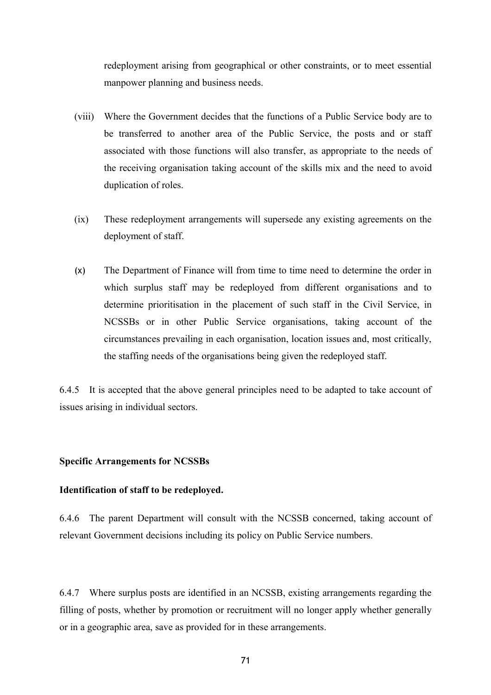redeployment arising from geographical or other constraints, or to meet essential manpower planning and business needs.

- (viii) Where the Government decides that the functions of a Public Service body are to be transferred to another area of the Public Service, the posts and or staff associated with those functions will also transfer, as appropriate to the needs of the receiving organisation taking account of the skills mix and the need to avoid duplication of roles.
- (ix) These redeployment arrangements will supersede any existing agreements on the deployment of staff.
- (x) The Department of Finance will from time to time need to determine the order in which surplus staff may be redeployed from different organisations and to determine prioritisation in the placement of such staff in the Civil Service, in NCSSBs or in other Public Service organisations, taking account of the circumstances prevailing in each organisation, location issues and, most critically, the staffing needs of the organisations being given the redeployed staff.

6.4.5 It is accepted that the above general principles need to be adapted to take account of issues arising in individual sectors.

# **Specific Arrangements for NCSSBs**

### **Identification of staff to be redeployed.**

6.4.6 The parent Department will consult with the NCSSB concerned, taking account of relevant Government decisions including its policy on Public Service numbers.

6.4.7 Where surplus posts are identified in an NCSSB, existing arrangements regarding the filling of posts, whether by promotion or recruitment will no longer apply whether generally or in a geographic area, save as provided for in these arrangements.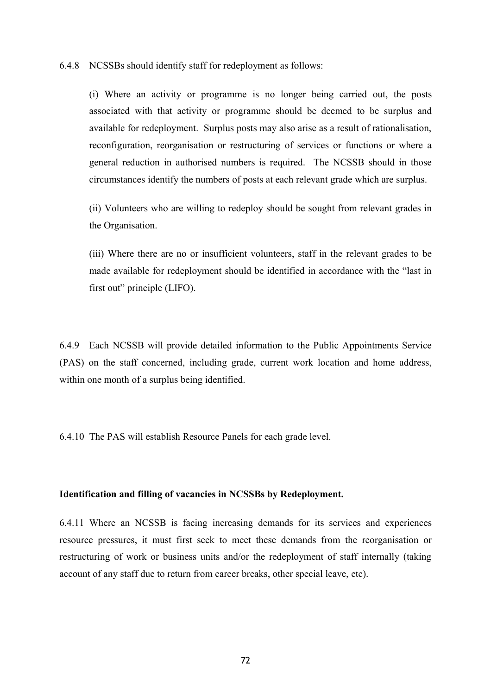6.4.8 NCSSBs should identify staff for redeployment as follows:

(i) Where an activity or programme is no longer being carried out, the posts associated with that activity or programme should be deemed to be surplus and available for redeployment. Surplus posts may also arise as a result of rationalisation, reconfiguration, reorganisation or restructuring of services or functions or where a general reduction in authorised numbers is required. The NCSSB should in those circumstances identify the numbers of posts at each relevant grade which are surplus.

(ii) Volunteers who are willing to redeploy should be sought from relevant grades in the Organisation.

(iii) Where there are no or insufficient volunteers, staff in the relevant grades to be made available for redeployment should be identified in accordance with the "last in first out" principle (LIFO).

6.4.9 Each NCSSB will provide detailed information to the Public Appointments Service (PAS) on the staff concerned, including grade, current work location and home address, within one month of a surplus being identified.

6.4.10 The PAS will establish Resource Panels for each grade level.

### **Identification and filling of vacancies in NCSSBs by Redeployment.**

6.4.11 Where an NCSSB is facing increasing demands for its services and experiences resource pressures, it must first seek to meet these demands from the reorganisation or restructuring of work or business units and/or the redeployment of staff internally (taking account of any staff due to return from career breaks, other special leave, etc).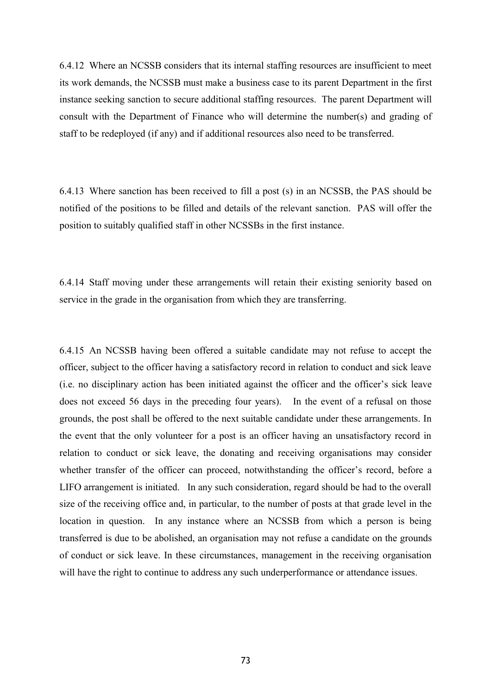6.4.12 Where an NCSSB considers that its internal staffing resources are insufficient to meet its work demands, the NCSSB must make a business case to its parent Department in the first instance seeking sanction to secure additional staffing resources. The parent Department will consult with the Department of Finance who will determine the number(s) and grading of staff to be redeployed (if any) and if additional resources also need to be transferred.

6.4.13 Where sanction has been received to fill a post (s) in an NCSSB, the PAS should be notified of the positions to be filled and details of the relevant sanction. PAS will offer the position to suitably qualified staff in other NCSSBs in the first instance.

6.4.14 Staff moving under these arrangements will retain their existing seniority based on service in the grade in the organisation from which they are transferring.

6.4.15 An NCSSB having been offered a suitable candidate may not refuse to accept the officer, subject to the officer having a satisfactory record in relation to conduct and sick leave (i.e. no disciplinary action has been initiated against the officer and the officer's sick leave does not exceed 56 days in the preceding four years). In the event of a refusal on those grounds, the post shall be offered to the next suitable candidate under these arrangements. In the event that the only volunteer for a post is an officer having an unsatisfactory record in relation to conduct or sick leave, the donating and receiving organisations may consider whether transfer of the officer can proceed, notwithstanding the officer's record, before a LIFO arrangement is initiated. In any such consideration, regard should be had to the overall size of the receiving office and, in particular, to the number of posts at that grade level in the location in question. In any instance where an NCSSB from which a person is being transferred is due to be abolished, an organisation may not refuse a candidate on the grounds of conduct or sick leave. In these circumstances, management in the receiving organisation will have the right to continue to address any such underperformance or attendance issues.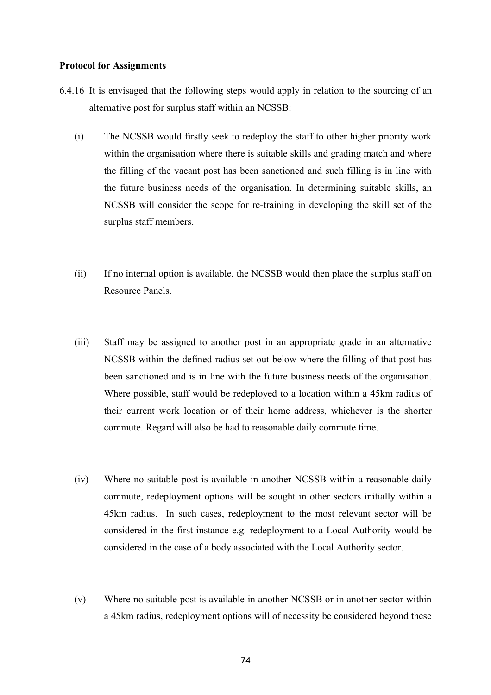#### **Protocol for Assignments**

- 6.4.16 It is envisaged that the following steps would apply in relation to the sourcing of an alternative post for surplus staff within an NCSSB:
	- (i) The NCSSB would firstly seek to redeploy the staff to other higher priority work within the organisation where there is suitable skills and grading match and where the filling of the vacant post has been sanctioned and such filling is in line with the future business needs of the organisation. In determining suitable skills, an NCSSB will consider the scope for re-training in developing the skill set of the surplus staff members.
	- (ii) If no internal option is available, the NCSSB would then place the surplus staff on Resource Panels.
	- (iii) Staff may be assigned to another post in an appropriate grade in an alternative NCSSB within the defined radius set out below where the filling of that post has been sanctioned and is in line with the future business needs of the organisation. Where possible, staff would be redeployed to a location within a 45km radius of their current work location or of their home address, whichever is the shorter commute. Regard will also be had to reasonable daily commute time.
	- (iv) Where no suitable post is available in another NCSSB within a reasonable daily commute, redeployment options will be sought in other sectors initially within a 45km radius. In such cases, redeployment to the most relevant sector will be considered in the first instance e.g. redeployment to a Local Authority would be considered in the case of a body associated with the Local Authority sector.
	- (v) Where no suitable post is available in another NCSSB or in another sector within a 45km radius, redeployment options will of necessity be considered beyond these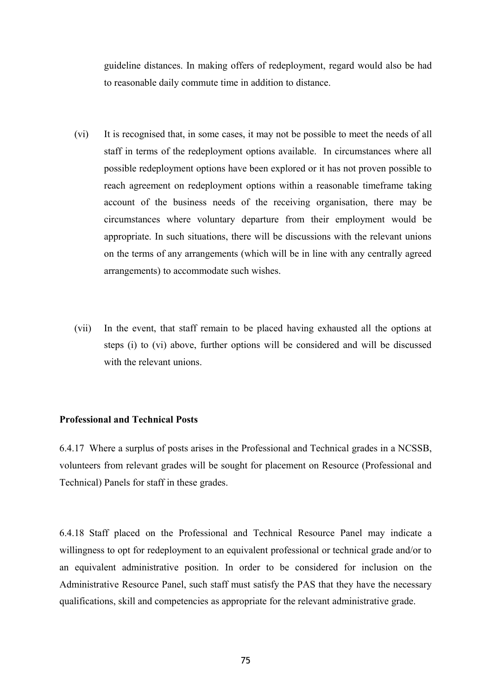guideline distances. In making offers of redeployment, regard would also be had to reasonable daily commute time in addition to distance.

- (vi) It is recognised that, in some cases, it may not be possible to meet the needs of all staff in terms of the redeployment options available. In circumstances where all possible redeployment options have been explored or it has not proven possible to reach agreement on redeployment options within a reasonable timeframe taking account of the business needs of the receiving organisation, there may be circumstances where voluntary departure from their employment would be appropriate. In such situations, there will be discussions with the relevant unions on the terms of any arrangements (which will be in line with any centrally agreed arrangements) to accommodate such wishes.
- (vii) In the event, that staff remain to be placed having exhausted all the options at steps (i) to (vi) above, further options will be considered and will be discussed with the relevant unions.

# **Professional and Technical Posts**

6.4.17 Where a surplus of posts arises in the Professional and Technical grades in a NCSSB, volunteers from relevant grades will be sought for placement on Resource (Professional and Technical) Panels for staff in these grades.

6.4.18 Staff placed on the Professional and Technical Resource Panel may indicate a willingness to opt for redeployment to an equivalent professional or technical grade and/or to an equivalent administrative position. In order to be considered for inclusion on the Administrative Resource Panel, such staff must satisfy the PAS that they have the necessary qualifications, skill and competencies as appropriate for the relevant administrative grade.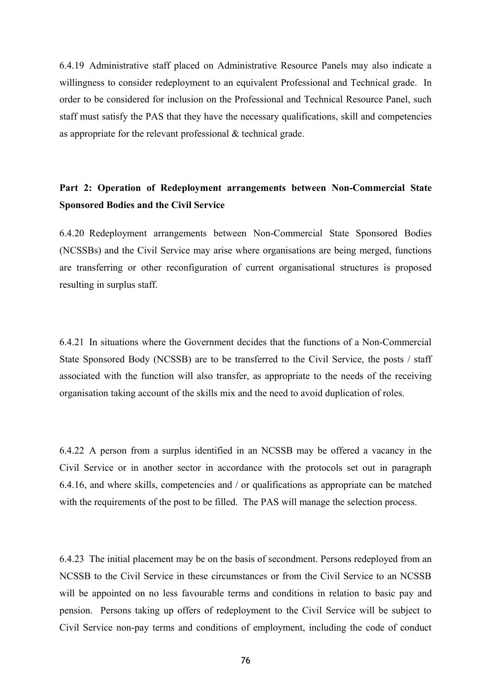6.4.19 Administrative staff placed on Administrative Resource Panels may also indicate a willingness to consider redeployment to an equivalent Professional and Technical grade. In order to be considered for inclusion on the Professional and Technical Resource Panel, such staff must satisfy the PAS that they have the necessary qualifications, skill and competencies as appropriate for the relevant professional & technical grade.

# **Part 2: Operation of Redeployment arrangements between Non-Commercial State Sponsored Bodies and the Civil Service**

6.4.20 Redeployment arrangements between Non-Commercial State Sponsored Bodies (NCSSBs) and the Civil Service may arise where organisations are being merged, functions are transferring or other reconfiguration of current organisational structures is proposed resulting in surplus staff.

6.4.21 In situations where the Government decides that the functions of a Non-Commercial State Sponsored Body (NCSSB) are to be transferred to the Civil Service, the posts / staff associated with the function will also transfer, as appropriate to the needs of the receiving organisation taking account of the skills mix and the need to avoid duplication of roles.

6.4.22 A person from a surplus identified in an NCSSB may be offered a vacancy in the Civil Service or in another sector in accordance with the protocols set out in paragraph 6.4.16, and where skills, competencies and / or qualifications as appropriate can be matched with the requirements of the post to be filled. The PAS will manage the selection process.

6.4.23 The initial placement may be on the basis of secondment. Persons redeployed from an NCSSB to the Civil Service in these circumstances or from the Civil Service to an NCSSB will be appointed on no less favourable terms and conditions in relation to basic pay and pension. Persons taking up offers of redeployment to the Civil Service will be subject to Civil Service non-pay terms and conditions of employment, including the code of conduct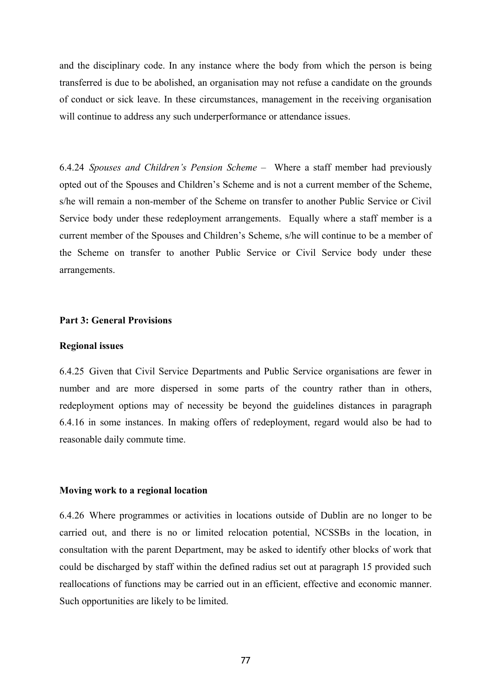and the disciplinary code. In any instance where the body from which the person is being transferred is due to be abolished, an organisation may not refuse a candidate on the grounds of conduct or sick leave. In these circumstances, management in the receiving organisation will continue to address any such underperformance or attendance issues.

6.4.24 *Spouses and Children's Pension Scheme* – Where a staff member had previously opted out of the Spouses and Children's Scheme and is not a current member of the Scheme, s/he will remain a non-member of the Scheme on transfer to another Public Service or Civil Service body under these redeployment arrangements. Equally where a staff member is a current member of the Spouses and Children's Scheme, s/he will continue to be a member of the Scheme on transfer to another Public Service or Civil Service body under these arrangements.

# **Part 3: General Provisions**

#### **Regional issues**

6.4.25 Given that Civil Service Departments and Public Service organisations are fewer in number and are more dispersed in some parts of the country rather than in others, redeployment options may of necessity be beyond the guidelines distances in paragraph 6.4.16 in some instances. In making offers of redeployment, regard would also be had to reasonable daily commute time.

#### **Moving work to a regional location**

6.4.26 Where programmes or activities in locations outside of Dublin are no longer to be carried out, and there is no or limited relocation potential, NCSSBs in the location, in consultation with the parent Department, may be asked to identify other blocks of work that could be discharged by staff within the defined radius set out at paragraph 15 provided such reallocations of functions may be carried out in an efficient, effective and economic manner. Such opportunities are likely to be limited.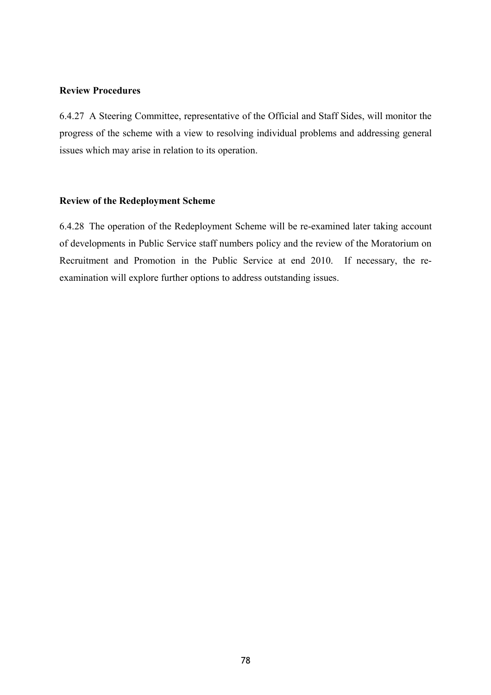## **Review Procedures**

6.4.27 A Steering Committee, representative of the Official and Staff Sides, will monitor the progress of the scheme with a view to resolving individual problems and addressing general issues which may arise in relation to its operation.

# **Review of the Redeployment Scheme**

6.4.28 The operation of the Redeployment Scheme will be re-examined later taking account of developments in Public Service staff numbers policy and the review of the Moratorium on Recruitment and Promotion in the Public Service at end 2010. If necessary, the reexamination will explore further options to address outstanding issues.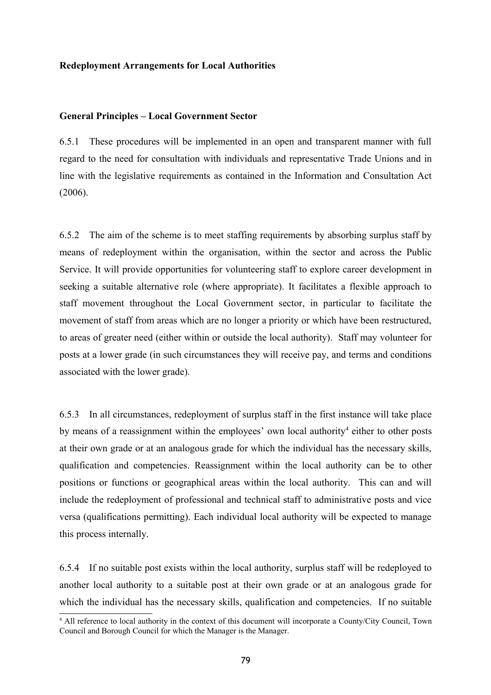#### **Redeployment Arrangements for Local Authorities**

#### **General Principles – Local Government Sector**

6.5.1 These procedures will be implemented in an open and transparent manner with full regard to the need for consultation with individuals and representative Trade Unions and in line with the legislative requirements as contained in the Information and Consultation Act (2006).

6.5.2 The aim of the scheme is to meet staffing requirements by absorbing surplus staff by means of redeployment within the organisation, within the sector and across the Public Service. It will provide opportunities for volunteering staff to explore career development in seeking a suitable alternative role (where appropriate). It facilitates a flexible approach to staff movement throughout the Local Government sector, in particular to facilitate the movement of staff from areas which are no longer a priority or which have been restructured, to areas of greater need (either within or outside the local authority). Staff may volunteer for posts at a lower grade (in such circumstances they will receive pay, and terms and conditions associated with the lower grade).

6.5.3 In all circumstances, redeployment of surplus staff in the first instance will take place by means of a reassignment within the employees' own local authority<sup>[4](#page-78-0)</sup> either to other posts at their own grade or at an analogous grade for which the individual has the necessary skills, qualification and competencies. Reassignment within the local authority can be to other positions or functions or geographical areas within the local authority. This can and will include the redeployment of professional and technical staff to administrative posts and vice versa (qualifications permitting). Each individual local authority will be expected to manage this process internally.

6.5.4 If no suitable post exists within the local authority, surplus staff will be redeployed to another local authority to a suitable post at their own grade or at an analogous grade for which the individual has the necessary skills, qualification and competencies. If no suitable

<span id="page-78-0"></span><sup>4</sup> All reference to local authority in the context of this document will incorporate a County/City Council, Town Council and Borough Council for which the Manager is the Manager.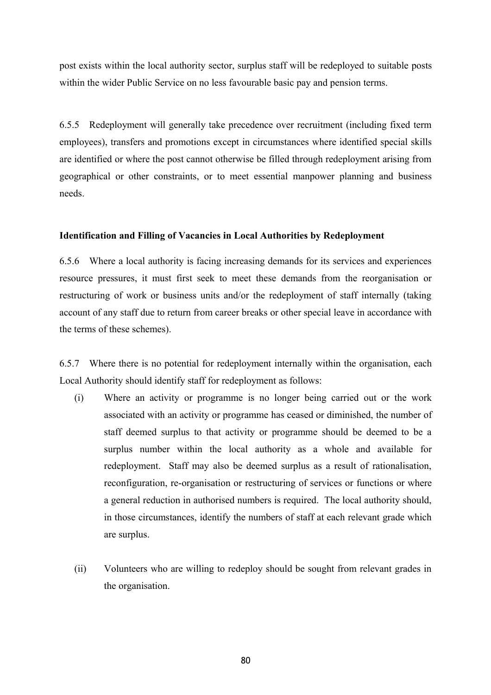post exists within the local authority sector, surplus staff will be redeployed to suitable posts within the wider Public Service on no less favourable basic pay and pension terms.

6.5.5 Redeployment will generally take precedence over recruitment (including fixed term employees), transfers and promotions except in circumstances where identified special skills are identified or where the post cannot otherwise be filled through redeployment arising from geographical or other constraints, or to meet essential manpower planning and business needs.

# **Identification and Filling of Vacancies in Local Authorities by Redeployment**

6.5.6 Where a local authority is facing increasing demands for its services and experiences resource pressures, it must first seek to meet these demands from the reorganisation or restructuring of work or business units and/or the redeployment of staff internally (taking account of any staff due to return from career breaks or other special leave in accordance with the terms of these schemes).

6.5.7 Where there is no potential for redeployment internally within the organisation, each Local Authority should identify staff for redeployment as follows:

- (i) Where an activity or programme is no longer being carried out or the work associated with an activity or programme has ceased or diminished, the number of staff deemed surplus to that activity or programme should be deemed to be a surplus number within the local authority as a whole and available for redeployment. Staff may also be deemed surplus as a result of rationalisation, reconfiguration, re-organisation or restructuring of services or functions or where a general reduction in authorised numbers is required. The local authority should, in those circumstances, identify the numbers of staff at each relevant grade which are surplus.
- (ii) Volunteers who are willing to redeploy should be sought from relevant grades in the organisation.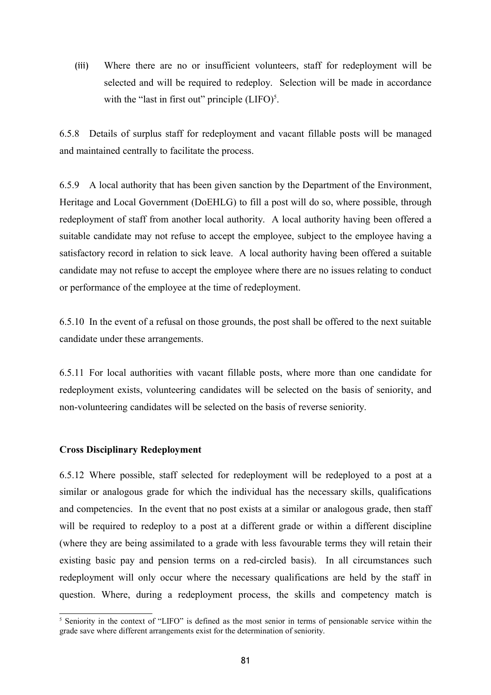(iii) Where there are no or insufficient volunteers, staff for redeployment will be selected and will be required to redeploy. Selection will be made in accordance with the "last in first out" principle  $(LIFO)^5$  $(LIFO)^5$ .

6.5.8 Details of surplus staff for redeployment and vacant fillable posts will be managed and maintained centrally to facilitate the process.

6.5.9 A local authority that has been given sanction by the Department of the Environment, Heritage and Local Government (DoEHLG) to fill a post will do so, where possible, through redeployment of staff from another local authority. A local authority having been offered a suitable candidate may not refuse to accept the employee, subject to the employee having a satisfactory record in relation to sick leave. A local authority having been offered a suitable candidate may not refuse to accept the employee where there are no issues relating to conduct or performance of the employee at the time of redeployment.

6.5.10 In the event of a refusal on those grounds, the post shall be offered to the next suitable candidate under these arrangements.

6.5.11 For local authorities with vacant fillable posts, where more than one candidate for redeployment exists, volunteering candidates will be selected on the basis of seniority, and non-volunteering candidates will be selected on the basis of reverse seniority.

# **Cross Disciplinary Redeployment**

6.5.12 Where possible, staff selected for redeployment will be redeployed to a post at a similar or analogous grade for which the individual has the necessary skills, qualifications and competencies. In the event that no post exists at a similar or analogous grade, then staff will be required to redeploy to a post at a different grade or within a different discipline (where they are being assimilated to a grade with less favourable terms they will retain their existing basic pay and pension terms on a red-circled basis). In all circumstances such redeployment will only occur where the necessary qualifications are held by the staff in question. Where, during a redeployment process, the skills and competency match is

<span id="page-80-0"></span><sup>&</sup>lt;sup>5</sup> Seniority in the context of "LIFO" is defined as the most senior in terms of pensionable service within the grade save where different arrangements exist for the determination of seniority.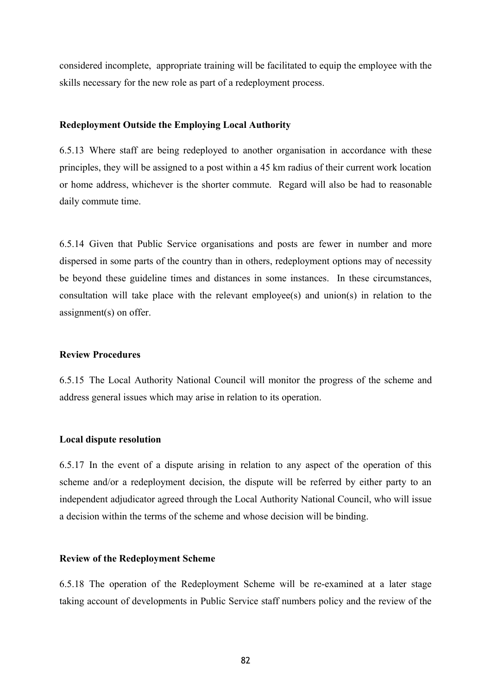considered incomplete, appropriate training will be facilitated to equip the employee with the skills necessary for the new role as part of a redeployment process.

#### **Redeployment Outside the Employing Local Authority**

6.5.13 Where staff are being redeployed to another organisation in accordance with these principles, they will be assigned to a post within a 45 km radius of their current work location or home address, whichever is the shorter commute. Regard will also be had to reasonable daily commute time.

6.5.14 Given that Public Service organisations and posts are fewer in number and more dispersed in some parts of the country than in others, redeployment options may of necessity be beyond these guideline times and distances in some instances. In these circumstances, consultation will take place with the relevant employee(s) and union(s) in relation to the assignment(s) on offer.

#### **Review Procedures**

6.5.15 The Local Authority National Council will monitor the progress of the scheme and address general issues which may arise in relation to its operation.

#### **Local dispute resolution**

6.5.17 In the event of a dispute arising in relation to any aspect of the operation of this scheme and/or a redeployment decision, the dispute will be referred by either party to an independent adjudicator agreed through the Local Authority National Council, who will issue a decision within the terms of the scheme and whose decision will be binding.

#### **Review of the Redeployment Scheme**

6.5.18 The operation of the Redeployment Scheme will be re-examined at a later stage taking account of developments in Public Service staff numbers policy and the review of the